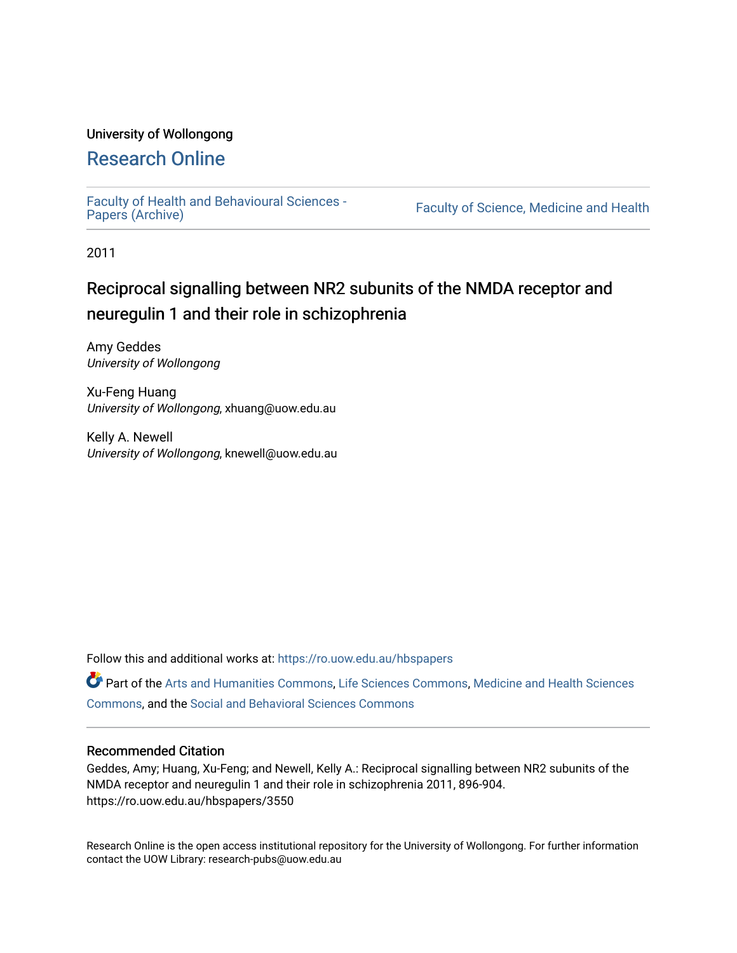## University of Wollongong

## [Research Online](https://ro.uow.edu.au/)

[Faculty of Health and Behavioural Sciences -](https://ro.uow.edu.au/hbspapers)<br>Papers (Archive)

Faculty of Science, Medicine and Health

2011

# Reciprocal signalling between NR2 subunits of the NMDA receptor and neuregulin 1 and their role in schizophrenia

Amy Geddes University of Wollongong

Xu-Feng Huang University of Wollongong, xhuang@uow.edu.au

Kelly A. Newell University of Wollongong, knewell@uow.edu.au

Follow this and additional works at: [https://ro.uow.edu.au/hbspapers](https://ro.uow.edu.au/hbspapers?utm_source=ro.uow.edu.au%2Fhbspapers%2F3550&utm_medium=PDF&utm_campaign=PDFCoverPages) 

Part of the [Arts and Humanities Commons,](http://network.bepress.com/hgg/discipline/438?utm_source=ro.uow.edu.au%2Fhbspapers%2F3550&utm_medium=PDF&utm_campaign=PDFCoverPages) [Life Sciences Commons,](http://network.bepress.com/hgg/discipline/1016?utm_source=ro.uow.edu.au%2Fhbspapers%2F3550&utm_medium=PDF&utm_campaign=PDFCoverPages) [Medicine and Health Sciences](http://network.bepress.com/hgg/discipline/648?utm_source=ro.uow.edu.au%2Fhbspapers%2F3550&utm_medium=PDF&utm_campaign=PDFCoverPages) [Commons](http://network.bepress.com/hgg/discipline/648?utm_source=ro.uow.edu.au%2Fhbspapers%2F3550&utm_medium=PDF&utm_campaign=PDFCoverPages), and the [Social and Behavioral Sciences Commons](http://network.bepress.com/hgg/discipline/316?utm_source=ro.uow.edu.au%2Fhbspapers%2F3550&utm_medium=PDF&utm_campaign=PDFCoverPages)

### Recommended Citation

Geddes, Amy; Huang, Xu-Feng; and Newell, Kelly A.: Reciprocal signalling between NR2 subunits of the NMDA receptor and neuregulin 1 and their role in schizophrenia 2011, 896-904. https://ro.uow.edu.au/hbspapers/3550

Research Online is the open access institutional repository for the University of Wollongong. For further information contact the UOW Library: research-pubs@uow.edu.au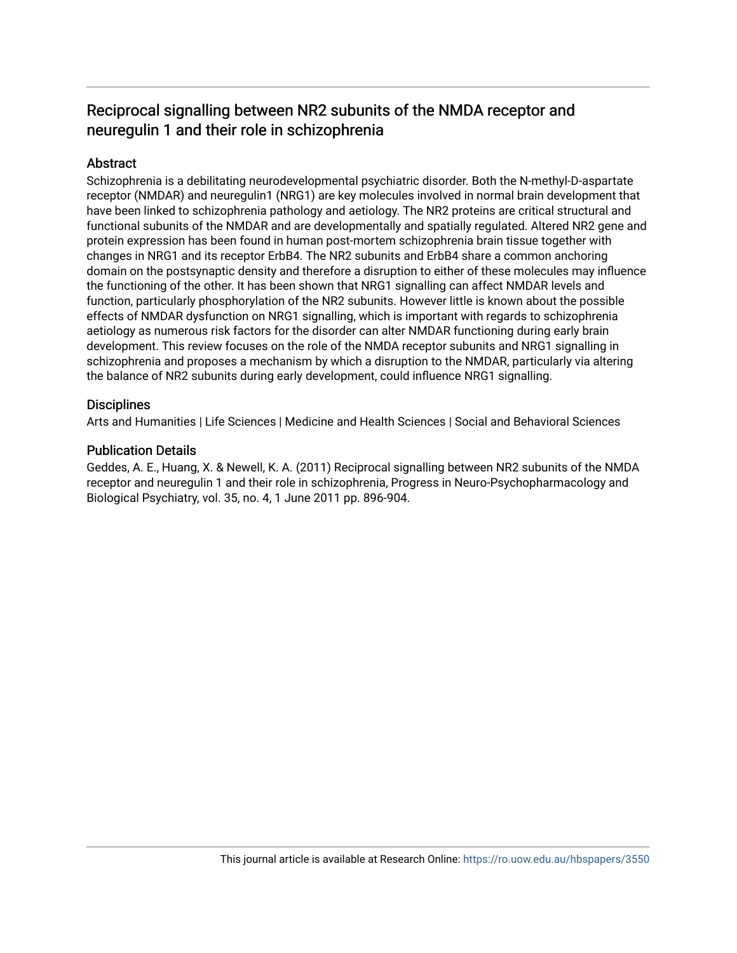## Reciprocal signalling between NR2 subunits of the NMDA receptor and neuregulin 1 and their role in schizophrenia

## **Abstract**

Schizophrenia is a debilitating neurodevelopmental psychiatric disorder. Both the N-methyl-D-aspartate receptor (NMDAR) and neuregulin1 (NRG1) are key molecules involved in normal brain development that have been linked to schizophrenia pathology and aetiology. The NR2 proteins are critical structural and functional subunits of the NMDAR and are developmentally and spatially regulated. Altered NR2 gene and protein expression has been found in human post-mortem schizophrenia brain tissue together with changes in NRG1 and its receptor ErbB4. The NR2 subunits and ErbB4 share a common anchoring domain on the postsynaptic density and therefore a disruption to either of these molecules may influence the functioning of the other. It has been shown that NRG1 signalling can affect NMDAR levels and function, particularly phosphorylation of the NR2 subunits. However little is known about the possible effects of NMDAR dysfunction on NRG1 signalling, which is important with regards to schizophrenia aetiology as numerous risk factors for the disorder can alter NMDAR functioning during early brain development. This review focuses on the role of the NMDA receptor subunits and NRG1 signalling in schizophrenia and proposes a mechanism by which a disruption to the NMDAR, particularly via altering the balance of NR2 subunits during early development, could influence NRG1 signalling.

## **Disciplines**

Arts and Humanities | Life Sciences | Medicine and Health Sciences | Social and Behavioral Sciences

## Publication Details

Geddes, A. E., Huang, X. & Newell, K. A. (2011) Reciprocal signalling between NR2 subunits of the NMDA receptor and neuregulin 1 and their role in schizophrenia, Progress in Neuro-Psychopharmacology and Biological Psychiatry, vol. 35, no. 4, 1 June 2011 pp. 896-904.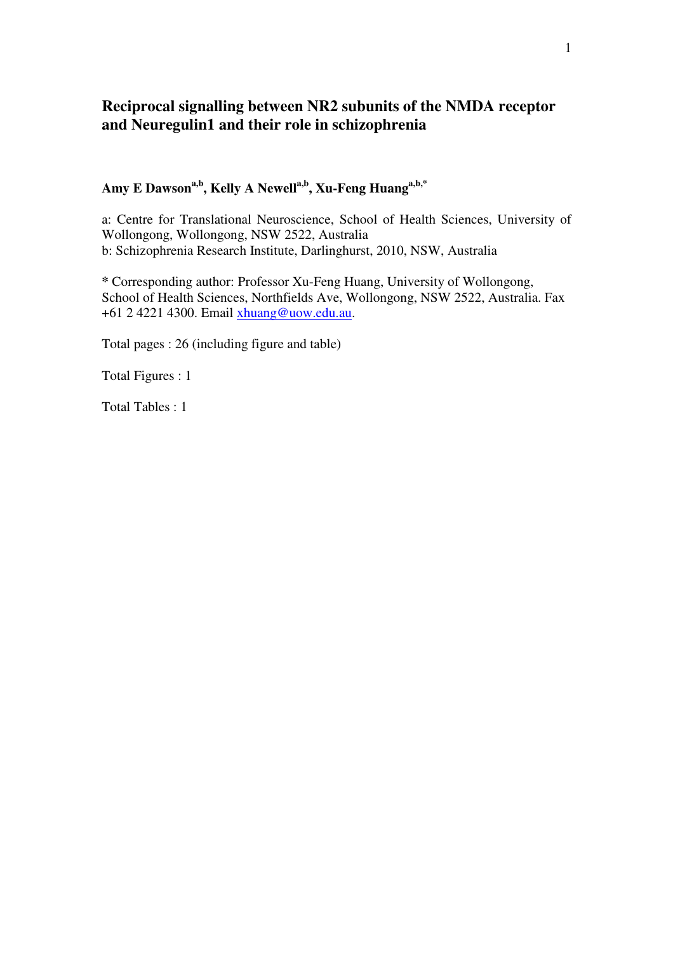## **Reciprocal signalling between NR2 subunits of the NMDA receptor and Neuregulin1 and their role in schizophrenia**

## **Amy E Dawsona,b, Kelly A Newella,b, Xu-Feng Huanga,b,\***

a: Centre for Translational Neuroscience, School of Health Sciences, University of Wollongong, Wollongong, NSW 2522, Australia b: Schizophrenia Research Institute, Darlinghurst, 2010, NSW, Australia

**\*** Corresponding author: Professor Xu-Feng Huang, University of Wollongong, School of Health Sciences, Northfields Ave, Wollongong, NSW 2522, Australia. Fax +61 2 4221 4300. Email xhuang@uow.edu.au.

Total pages : 26 (including figure and table)

Total Figures : 1

Total Tables : 1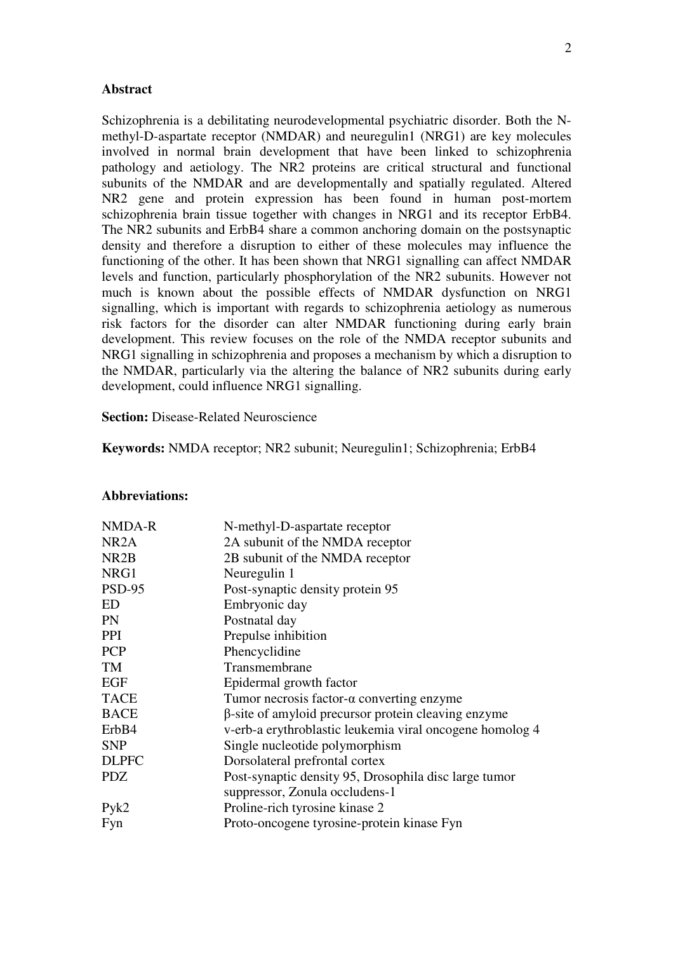### **Abstract**

Schizophrenia is a debilitating neurodevelopmental psychiatric disorder. Both the Nmethyl-D-aspartate receptor (NMDAR) and neuregulin1 (NRG1) are key molecules involved in normal brain development that have been linked to schizophrenia pathology and aetiology. The NR2 proteins are critical structural and functional subunits of the NMDAR and are developmentally and spatially regulated. Altered NR2 gene and protein expression has been found in human post-mortem schizophrenia brain tissue together with changes in NRG1 and its receptor ErbB4. The NR2 subunits and ErbB4 share a common anchoring domain on the postsynaptic density and therefore a disruption to either of these molecules may influence the functioning of the other. It has been shown that NRG1 signalling can affect NMDAR levels and function, particularly phosphorylation of the NR2 subunits. However not much is known about the possible effects of NMDAR dysfunction on NRG1 signalling, which is important with regards to schizophrenia aetiology as numerous risk factors for the disorder can alter NMDAR functioning during early brain development. This review focuses on the role of the NMDA receptor subunits and NRG1 signalling in schizophrenia and proposes a mechanism by which a disruption to the NMDAR, particularly via the altering the balance of NR2 subunits during early development, could influence NRG1 signalling.

**Section:** Disease-Related Neuroscience

**Keywords:** NMDA receptor; NR2 subunit; Neuregulin1; Schizophrenia; ErbB4

#### **Abbreviations:**

| NMDA-R            | N-methyl-D-aspartate receptor                            |
|-------------------|----------------------------------------------------------|
| NR <sub>2</sub> A | 2A subunit of the NMDA receptor                          |
| NR <sub>2</sub> B | 2B subunit of the NMDA receptor                          |
| NRG1              | Neuregulin 1                                             |
| <b>PSD-95</b>     | Post-synaptic density protein 95                         |
| ED                | Embryonic day                                            |
| PN                | Postnatal day                                            |
| <b>PPI</b>        | Prepulse inhibition                                      |
| <b>PCP</b>        | Phencyclidine                                            |
| TM                | Transmembrane                                            |
| <b>EGF</b>        | Epidermal growth factor                                  |
| <b>TACE</b>       | Tumor necrosis factor- $\alpha$ converting enzyme        |
| <b>BACE</b>       | β-site of amyloid precursor protein cleaving enzyme      |
| ErbB4             | v-erb-a erythroblastic leukemia viral oncogene homolog 4 |
| <b>SNP</b>        | Single nucleotide polymorphism                           |
| <b>DLPFC</b>      | Dorsolateral prefrontal cortex                           |
| <b>PDZ</b>        | Post-synaptic density 95, Drosophila disc large tumor    |
|                   | suppressor, Zonula occludens-1                           |
| Pyk2              | Proline-rich tyrosine kinase 2                           |
| Fyn               | Proto-oncogene tyrosine-protein kinase Fyn               |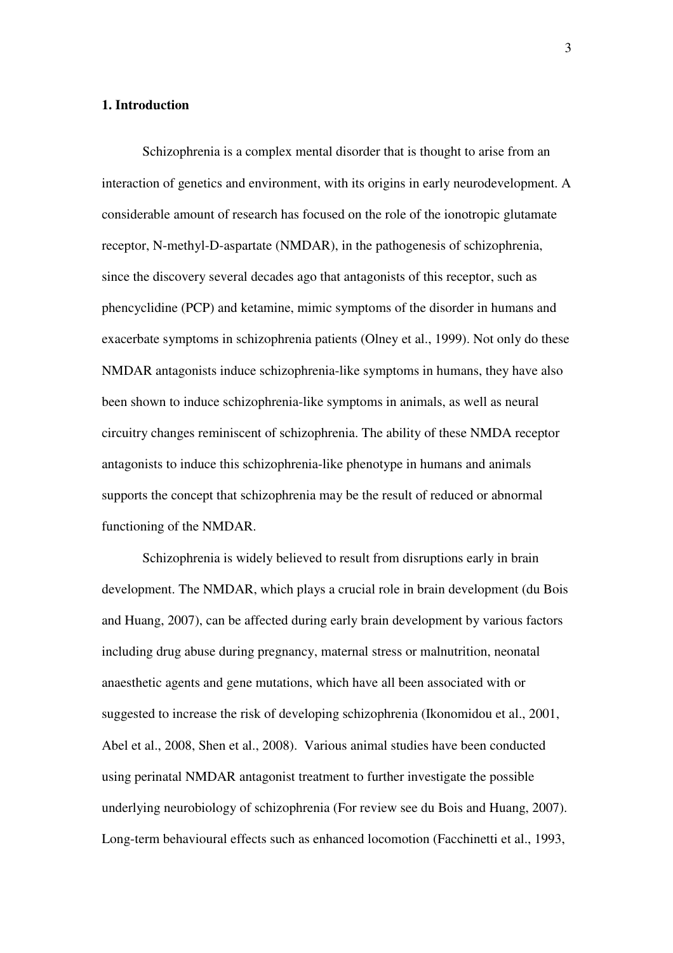## **1. Introduction**

Schizophrenia is a complex mental disorder that is thought to arise from an interaction of genetics and environment, with its origins in early neurodevelopment. A considerable amount of research has focused on the role of the ionotropic glutamate receptor, N-methyl-D-aspartate (NMDAR), in the pathogenesis of schizophrenia, since the discovery several decades ago that antagonists of this receptor, such as phencyclidine (PCP) and ketamine, mimic symptoms of the disorder in humans and exacerbate symptoms in schizophrenia patients (Olney et al., 1999). Not only do these NMDAR antagonists induce schizophrenia-like symptoms in humans, they have also been shown to induce schizophrenia-like symptoms in animals, as well as neural circuitry changes reminiscent of schizophrenia. The ability of these NMDA receptor antagonists to induce this schizophrenia-like phenotype in humans and animals supports the concept that schizophrenia may be the result of reduced or abnormal functioning of the NMDAR.

Schizophrenia is widely believed to result from disruptions early in brain development. The NMDAR, which plays a crucial role in brain development (du Bois and Huang, 2007), can be affected during early brain development by various factors including drug abuse during pregnancy, maternal stress or malnutrition, neonatal anaesthetic agents and gene mutations, which have all been associated with or suggested to increase the risk of developing schizophrenia (Ikonomidou et al., 2001, Abel et al., 2008, Shen et al., 2008). Various animal studies have been conducted using perinatal NMDAR antagonist treatment to further investigate the possible underlying neurobiology of schizophrenia (For review see du Bois and Huang, 2007). Long-term behavioural effects such as enhanced locomotion (Facchinetti et al., 1993,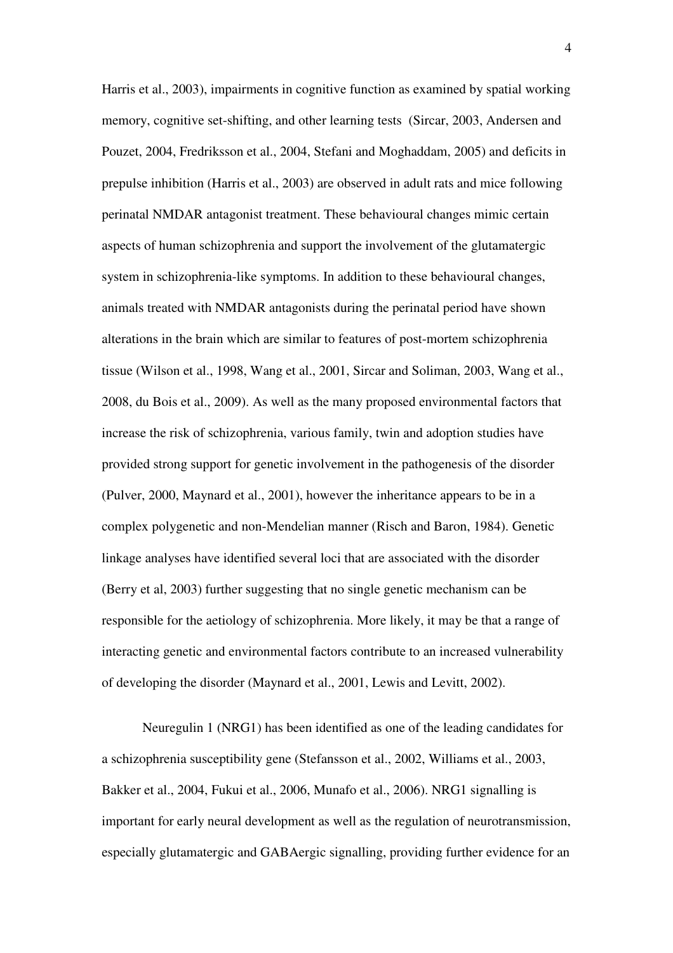Harris et al., 2003), impairments in cognitive function as examined by spatial working memory, cognitive set-shifting, and other learning tests (Sircar, 2003, Andersen and Pouzet, 2004, Fredriksson et al., 2004, Stefani and Moghaddam, 2005) and deficits in prepulse inhibition (Harris et al., 2003) are observed in adult rats and mice following perinatal NMDAR antagonist treatment. These behavioural changes mimic certain aspects of human schizophrenia and support the involvement of the glutamatergic system in schizophrenia-like symptoms. In addition to these behavioural changes, animals treated with NMDAR antagonists during the perinatal period have shown alterations in the brain which are similar to features of post-mortem schizophrenia tissue (Wilson et al., 1998, Wang et al., 2001, Sircar and Soliman, 2003, Wang et al., 2008, du Bois et al., 2009). As well as the many proposed environmental factors that increase the risk of schizophrenia, various family, twin and adoption studies have provided strong support for genetic involvement in the pathogenesis of the disorder (Pulver, 2000, Maynard et al., 2001), however the inheritance appears to be in a complex polygenetic and non-Mendelian manner (Risch and Baron, 1984). Genetic linkage analyses have identified several loci that are associated with the disorder (Berry et al, 2003) further suggesting that no single genetic mechanism can be responsible for the aetiology of schizophrenia. More likely, it may be that a range of interacting genetic and environmental factors contribute to an increased vulnerability of developing the disorder (Maynard et al., 2001, Lewis and Levitt, 2002).

Neuregulin 1 (NRG1) has been identified as one of the leading candidates for a schizophrenia susceptibility gene (Stefansson et al., 2002, Williams et al., 2003, Bakker et al., 2004, Fukui et al., 2006, Munafo et al., 2006). NRG1 signalling is important for early neural development as well as the regulation of neurotransmission, especially glutamatergic and GABAergic signalling, providing further evidence for an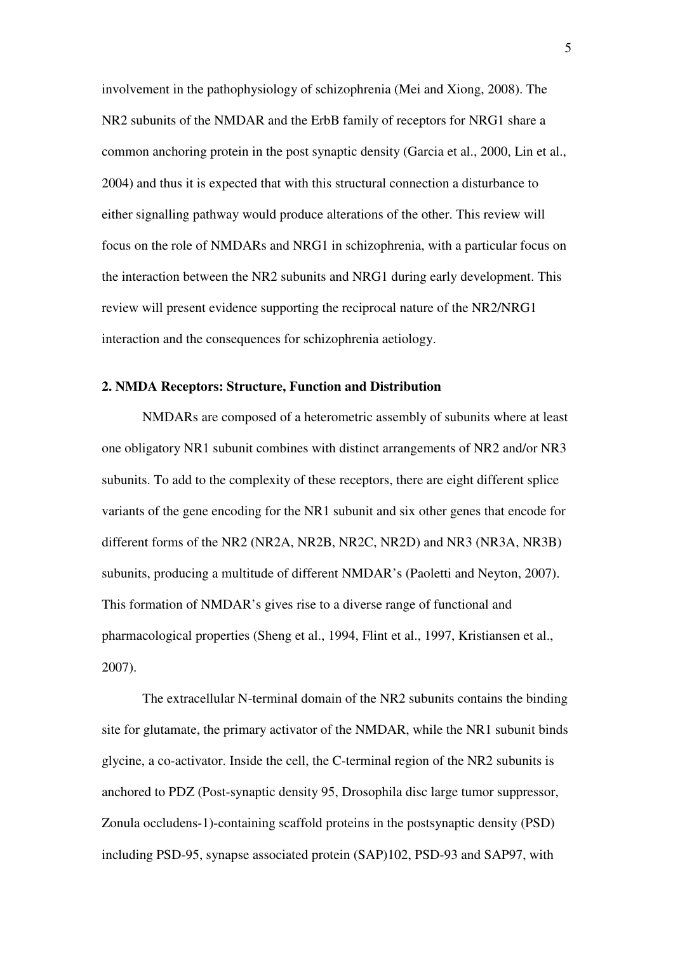involvement in the pathophysiology of schizophrenia (Mei and Xiong, 2008). The NR2 subunits of the NMDAR and the ErbB family of receptors for NRG1 share a common anchoring protein in the post synaptic density (Garcia et al., 2000, Lin et al., 2004) and thus it is expected that with this structural connection a disturbance to either signalling pathway would produce alterations of the other. This review will focus on the role of NMDARs and NRG1 in schizophrenia, with a particular focus on the interaction between the NR2 subunits and NRG1 during early development. This review will present evidence supporting the reciprocal nature of the NR2/NRG1 interaction and the consequences for schizophrenia aetiology.

### **2. NMDA Receptors: Structure, Function and Distribution**

NMDARs are composed of a heterometric assembly of subunits where at least one obligatory NR1 subunit combines with distinct arrangements of NR2 and/or NR3 subunits. To add to the complexity of these receptors, there are eight different splice variants of the gene encoding for the NR1 subunit and six other genes that encode for different forms of the NR2 (NR2A, NR2B, NR2C, NR2D) and NR3 (NR3A, NR3B) subunits, producing a multitude of different NMDAR's (Paoletti and Neyton, 2007). This formation of NMDAR's gives rise to a diverse range of functional and pharmacological properties (Sheng et al., 1994, Flint et al., 1997, Kristiansen et al., 2007).

The extracellular N-terminal domain of the NR2 subunits contains the binding site for glutamate, the primary activator of the NMDAR, while the NR1 subunit binds glycine, a co-activator. Inside the cell, the C-terminal region of the NR2 subunits is anchored to PDZ (Post-synaptic density 95, Drosophila disc large tumor suppressor, Zonula occludens-1)-containing scaffold proteins in the postsynaptic density (PSD) including PSD-95, synapse associated protein (SAP)102, PSD-93 and SAP97, with

5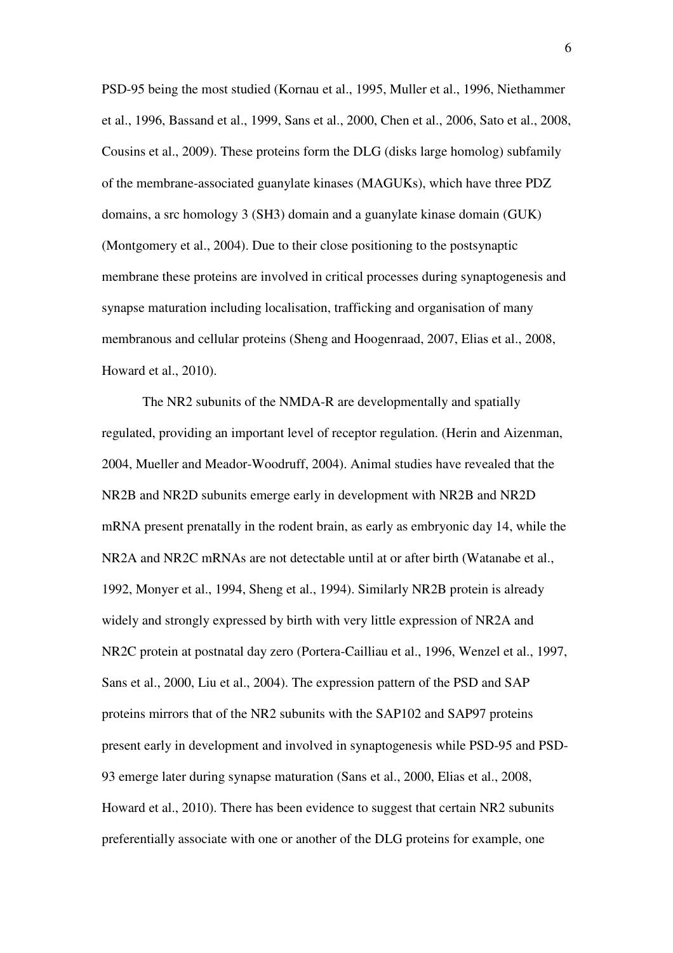PSD-95 being the most studied (Kornau et al., 1995, Muller et al., 1996, Niethammer et al., 1996, Bassand et al., 1999, Sans et al., 2000, Chen et al., 2006, Sato et al., 2008, Cousins et al., 2009). These proteins form the DLG (disks large homolog) subfamily of the membrane-associated guanylate kinases (MAGUKs), which have three PDZ domains, a src homology 3 (SH3) domain and a guanylate kinase domain (GUK) (Montgomery et al., 2004). Due to their close positioning to the postsynaptic membrane these proteins are involved in critical processes during synaptogenesis and synapse maturation including localisation, trafficking and organisation of many membranous and cellular proteins (Sheng and Hoogenraad, 2007, Elias et al., 2008, Howard et al., 2010).

The NR2 subunits of the NMDA-R are developmentally and spatially regulated, providing an important level of receptor regulation. (Herin and Aizenman, 2004, Mueller and Meador-Woodruff, 2004). Animal studies have revealed that the NR2B and NR2D subunits emerge early in development with NR2B and NR2D mRNA present prenatally in the rodent brain, as early as embryonic day 14, while the NR2A and NR2C mRNAs are not detectable until at or after birth (Watanabe et al., 1992, Monyer et al., 1994, Sheng et al., 1994). Similarly NR2B protein is already widely and strongly expressed by birth with very little expression of NR2A and NR2C protein at postnatal day zero (Portera-Cailliau et al., 1996, Wenzel et al., 1997, Sans et al., 2000, Liu et al., 2004). The expression pattern of the PSD and SAP proteins mirrors that of the NR2 subunits with the SAP102 and SAP97 proteins present early in development and involved in synaptogenesis while PSD-95 and PSD-93 emerge later during synapse maturation (Sans et al., 2000, Elias et al., 2008, Howard et al., 2010). There has been evidence to suggest that certain NR2 subunits preferentially associate with one or another of the DLG proteins for example, one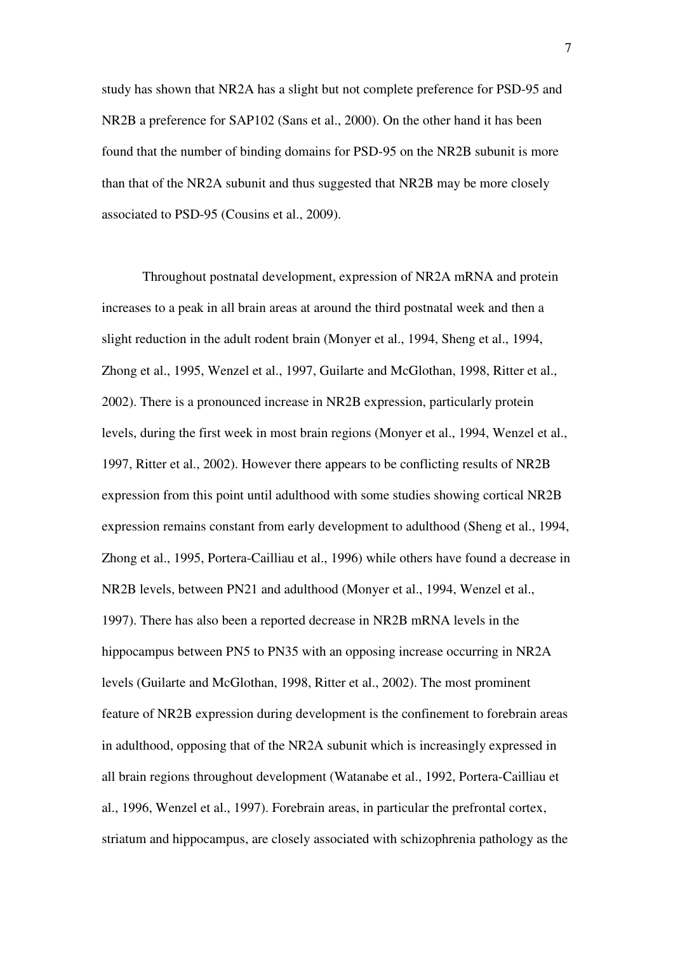study has shown that NR2A has a slight but not complete preference for PSD-95 and NR2B a preference for SAP102 (Sans et al., 2000). On the other hand it has been found that the number of binding domains for PSD-95 on the NR2B subunit is more than that of the NR2A subunit and thus suggested that NR2B may be more closely associated to PSD-95 (Cousins et al., 2009).

Throughout postnatal development, expression of NR2A mRNA and protein increases to a peak in all brain areas at around the third postnatal week and then a slight reduction in the adult rodent brain (Monyer et al., 1994, Sheng et al., 1994, Zhong et al., 1995, Wenzel et al., 1997, Guilarte and McGlothan, 1998, Ritter et al., 2002). There is a pronounced increase in NR2B expression, particularly protein levels, during the first week in most brain regions (Monyer et al., 1994, Wenzel et al., 1997, Ritter et al., 2002). However there appears to be conflicting results of NR2B expression from this point until adulthood with some studies showing cortical NR2B expression remains constant from early development to adulthood (Sheng et al., 1994, Zhong et al., 1995, Portera-Cailliau et al., 1996) while others have found a decrease in NR2B levels, between PN21 and adulthood (Monyer et al., 1994, Wenzel et al., 1997). There has also been a reported decrease in NR2B mRNA levels in the hippocampus between PN5 to PN35 with an opposing increase occurring in NR2A levels (Guilarte and McGlothan, 1998, Ritter et al., 2002). The most prominent feature of NR2B expression during development is the confinement to forebrain areas in adulthood, opposing that of the NR2A subunit which is increasingly expressed in all brain regions throughout development (Watanabe et al., 1992, Portera-Cailliau et al., 1996, Wenzel et al., 1997). Forebrain areas, in particular the prefrontal cortex, striatum and hippocampus, are closely associated with schizophrenia pathology as the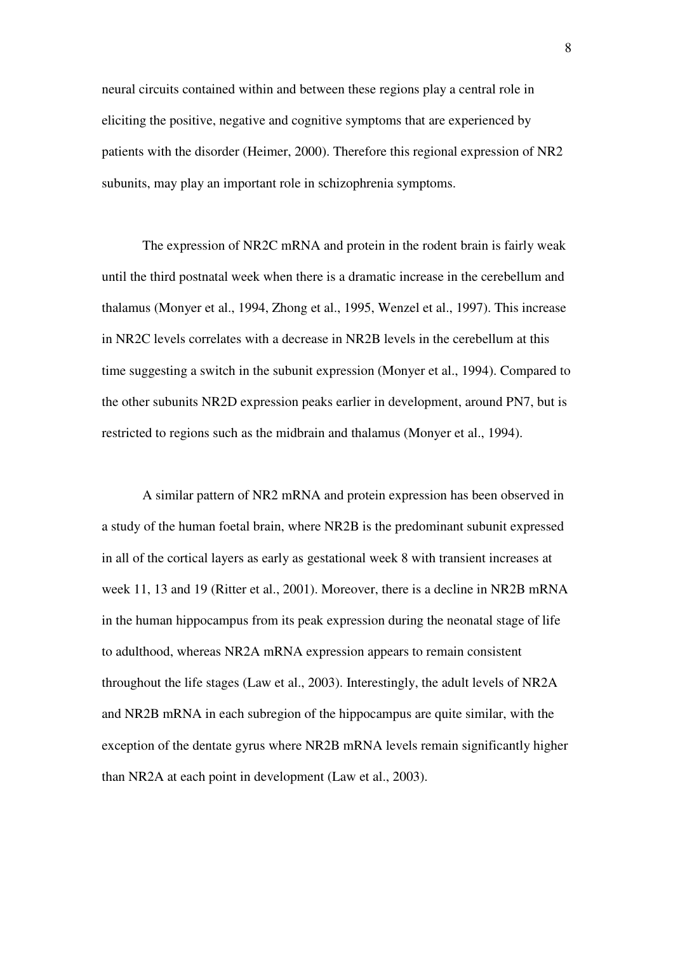neural circuits contained within and between these regions play a central role in eliciting the positive, negative and cognitive symptoms that are experienced by patients with the disorder (Heimer, 2000). Therefore this regional expression of NR2 subunits, may play an important role in schizophrenia symptoms.

The expression of NR2C mRNA and protein in the rodent brain is fairly weak until the third postnatal week when there is a dramatic increase in the cerebellum and thalamus (Monyer et al., 1994, Zhong et al., 1995, Wenzel et al., 1997). This increase in NR2C levels correlates with a decrease in NR2B levels in the cerebellum at this time suggesting a switch in the subunit expression (Monyer et al., 1994). Compared to the other subunits NR2D expression peaks earlier in development, around PN7, but is restricted to regions such as the midbrain and thalamus (Monyer et al., 1994).

A similar pattern of NR2 mRNA and protein expression has been observed in a study of the human foetal brain, where NR2B is the predominant subunit expressed in all of the cortical layers as early as gestational week 8 with transient increases at week 11, 13 and 19 (Ritter et al., 2001). Moreover, there is a decline in NR2B mRNA in the human hippocampus from its peak expression during the neonatal stage of life to adulthood, whereas NR2A mRNA expression appears to remain consistent throughout the life stages (Law et al., 2003). Interestingly, the adult levels of NR2A and NR2B mRNA in each subregion of the hippocampus are quite similar, with the exception of the dentate gyrus where NR2B mRNA levels remain significantly higher than NR2A at each point in development (Law et al., 2003).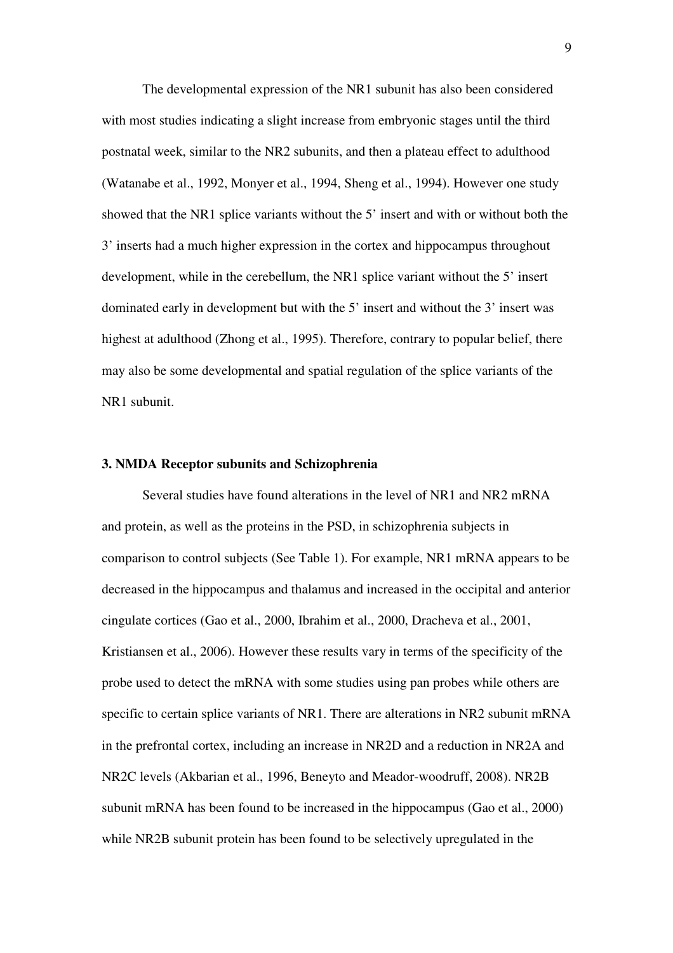The developmental expression of the NR1 subunit has also been considered with most studies indicating a slight increase from embryonic stages until the third postnatal week, similar to the NR2 subunits, and then a plateau effect to adulthood (Watanabe et al., 1992, Monyer et al., 1994, Sheng et al., 1994). However one study showed that the NR1 splice variants without the 5' insert and with or without both the 3' inserts had a much higher expression in the cortex and hippocampus throughout development, while in the cerebellum, the NR1 splice variant without the 5' insert dominated early in development but with the 5' insert and without the 3' insert was highest at adulthood (Zhong et al., 1995). Therefore, contrary to popular belief, there may also be some developmental and spatial regulation of the splice variants of the NR1 subunit.

#### **3. NMDA Receptor subunits and Schizophrenia**

Several studies have found alterations in the level of NR1 and NR2 mRNA and protein, as well as the proteins in the PSD, in schizophrenia subjects in comparison to control subjects (See Table 1). For example, NR1 mRNA appears to be decreased in the hippocampus and thalamus and increased in the occipital and anterior cingulate cortices (Gao et al., 2000, Ibrahim et al., 2000, Dracheva et al., 2001, Kristiansen et al., 2006). However these results vary in terms of the specificity of the probe used to detect the mRNA with some studies using pan probes while others are specific to certain splice variants of NR1. There are alterations in NR2 subunit mRNA in the prefrontal cortex, including an increase in NR2D and a reduction in NR2A and NR2C levels (Akbarian et al., 1996, Beneyto and Meador-woodruff, 2008). NR2B subunit mRNA has been found to be increased in the hippocampus (Gao et al., 2000) while NR2B subunit protein has been found to be selectively upregulated in the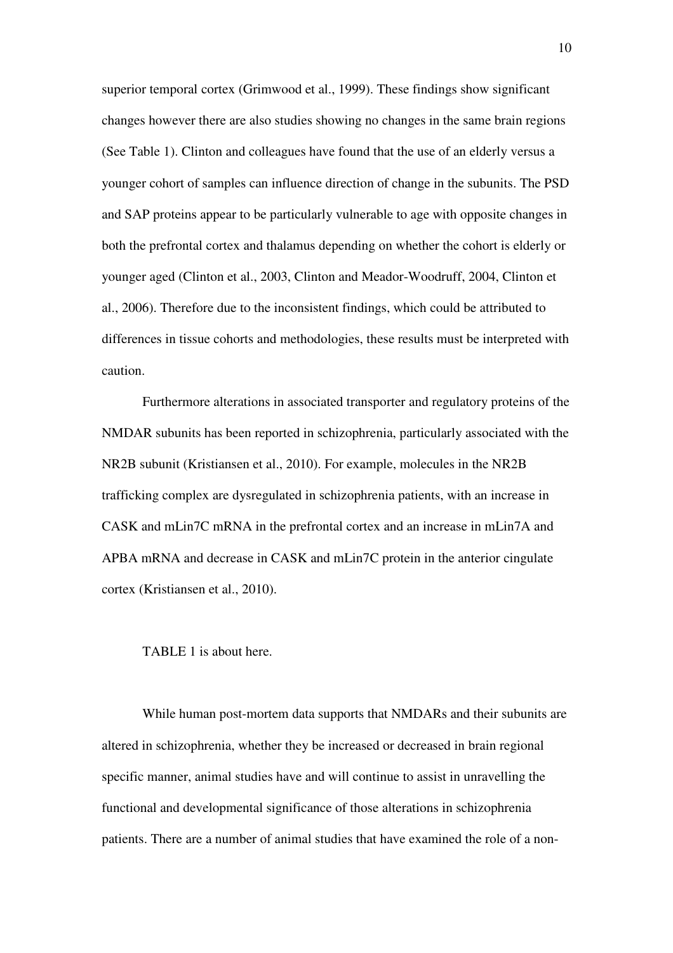superior temporal cortex (Grimwood et al., 1999). These findings show significant changes however there are also studies showing no changes in the same brain regions (See Table 1). Clinton and colleagues have found that the use of an elderly versus a younger cohort of samples can influence direction of change in the subunits. The PSD and SAP proteins appear to be particularly vulnerable to age with opposite changes in both the prefrontal cortex and thalamus depending on whether the cohort is elderly or younger aged (Clinton et al., 2003, Clinton and Meador-Woodruff, 2004, Clinton et al., 2006). Therefore due to the inconsistent findings, which could be attributed to differences in tissue cohorts and methodologies, these results must be interpreted with caution.

Furthermore alterations in associated transporter and regulatory proteins of the NMDAR subunits has been reported in schizophrenia, particularly associated with the NR2B subunit (Kristiansen et al., 2010). For example, molecules in the NR2B trafficking complex are dysregulated in schizophrenia patients, with an increase in CASK and mLin7C mRNA in the prefrontal cortex and an increase in mLin7A and APBA mRNA and decrease in CASK and mLin7C protein in the anterior cingulate cortex (Kristiansen et al., 2010).

TABLE 1 is about here.

While human post-mortem data supports that NMDARs and their subunits are altered in schizophrenia, whether they be increased or decreased in brain regional specific manner, animal studies have and will continue to assist in unravelling the functional and developmental significance of those alterations in schizophrenia patients. There are a number of animal studies that have examined the role of a non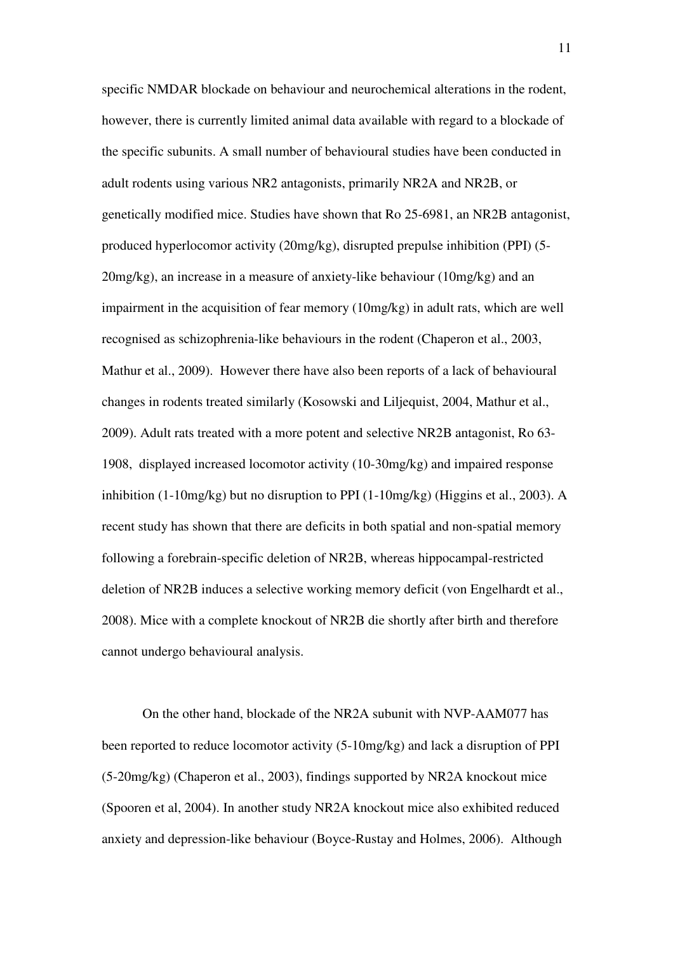specific NMDAR blockade on behaviour and neurochemical alterations in the rodent, however, there is currently limited animal data available with regard to a blockade of the specific subunits. A small number of behavioural studies have been conducted in adult rodents using various NR2 antagonists, primarily NR2A and NR2B, or genetically modified mice. Studies have shown that Ro 25-6981, an NR2B antagonist, produced hyperlocomor activity (20mg/kg), disrupted prepulse inhibition (PPI) (5-  $20mg/kg$ ), an increase in a measure of anxiety-like behaviour (10mg/kg) and an impairment in the acquisition of fear memory (10mg/kg) in adult rats, which are well recognised as schizophrenia-like behaviours in the rodent (Chaperon et al., 2003, Mathur et al., 2009). However there have also been reports of a lack of behavioural changes in rodents treated similarly (Kosowski and Liljequist, 2004, Mathur et al., 2009). Adult rats treated with a more potent and selective NR2B antagonist, Ro 63- 1908, displayed increased locomotor activity (10-30mg/kg) and impaired response inhibition (1-10mg/kg) but no disruption to PPI (1-10mg/kg) (Higgins et al., 2003). A recent study has shown that there are deficits in both spatial and non-spatial memory following a forebrain-specific deletion of NR2B, whereas hippocampal-restricted deletion of NR2B induces a selective working memory deficit (von Engelhardt et al., 2008). Mice with a complete knockout of NR2B die shortly after birth and therefore cannot undergo behavioural analysis.

On the other hand, blockade of the NR2A subunit with NVP-AAM077 has been reported to reduce locomotor activity (5-10mg/kg) and lack a disruption of PPI (5-20mg/kg) (Chaperon et al., 2003), findings supported by NR2A knockout mice (Spooren et al, 2004). In another study NR2A knockout mice also exhibited reduced anxiety and depression-like behaviour (Boyce-Rustay and Holmes, 2006). Although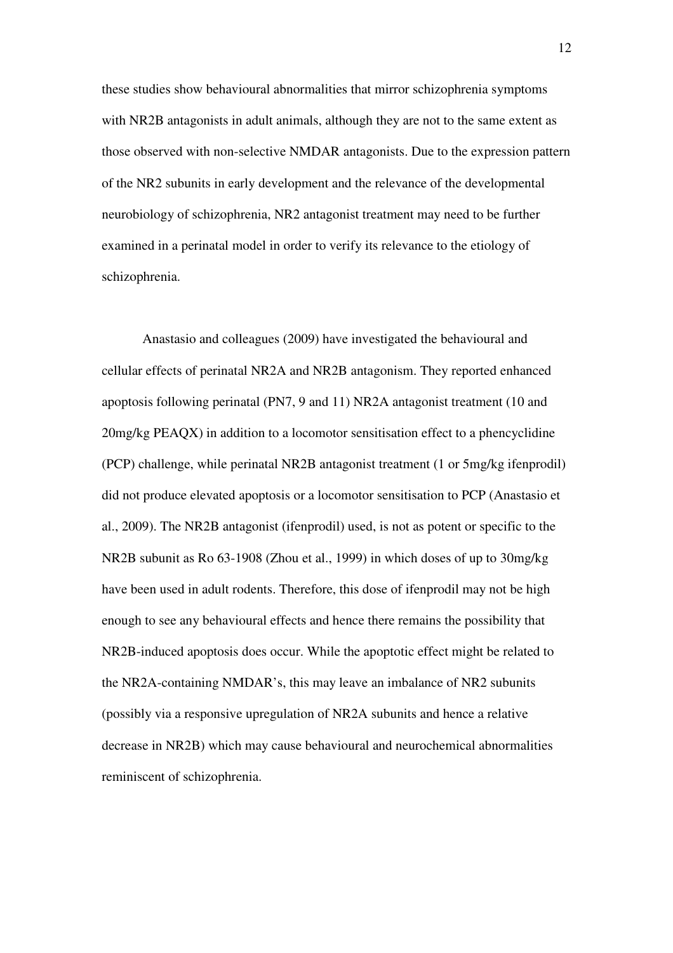these studies show behavioural abnormalities that mirror schizophrenia symptoms with NR2B antagonists in adult animals, although they are not to the same extent as those observed with non-selective NMDAR antagonists. Due to the expression pattern of the NR2 subunits in early development and the relevance of the developmental neurobiology of schizophrenia, NR2 antagonist treatment may need to be further examined in a perinatal model in order to verify its relevance to the etiology of schizophrenia.

Anastasio and colleagues (2009) have investigated the behavioural and cellular effects of perinatal NR2A and NR2B antagonism. They reported enhanced apoptosis following perinatal (PN7, 9 and 11) NR2A antagonist treatment (10 and 20mg/kg PEAQX) in addition to a locomotor sensitisation effect to a phencyclidine (PCP) challenge, while perinatal NR2B antagonist treatment (1 or 5mg/kg ifenprodil) did not produce elevated apoptosis or a locomotor sensitisation to PCP (Anastasio et al., 2009). The NR2B antagonist (ifenprodil) used, is not as potent or specific to the NR2B subunit as Ro 63-1908 (Zhou et al., 1999) in which doses of up to 30mg/kg have been used in adult rodents. Therefore, this dose of ifenprodil may not be high enough to see any behavioural effects and hence there remains the possibility that NR2B-induced apoptosis does occur. While the apoptotic effect might be related to the NR2A-containing NMDAR's, this may leave an imbalance of NR2 subunits (possibly via a responsive upregulation of NR2A subunits and hence a relative decrease in NR2B) which may cause behavioural and neurochemical abnormalities reminiscent of schizophrenia.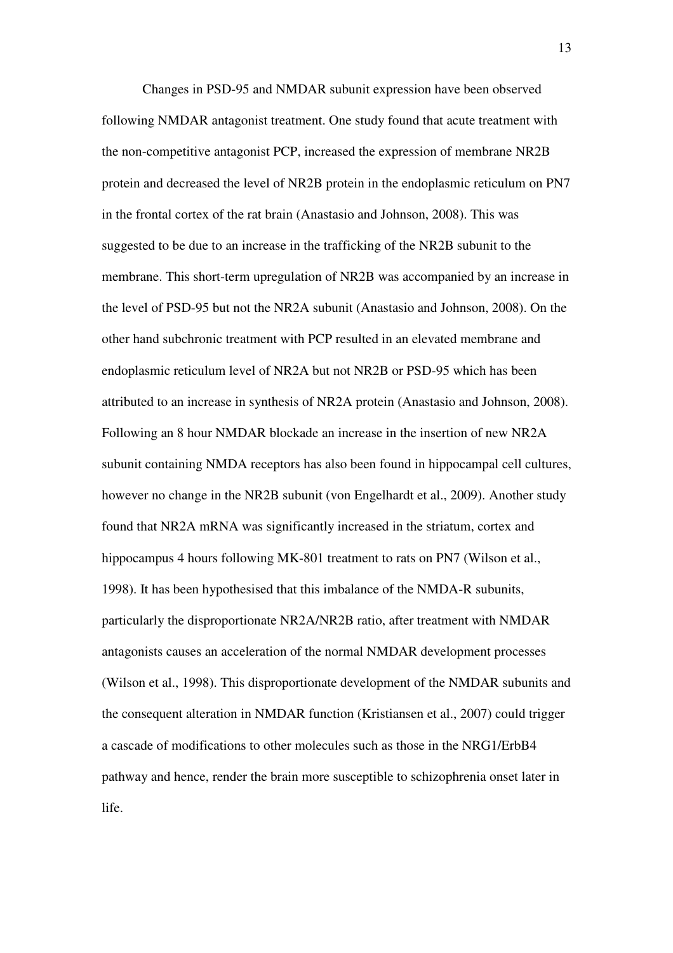Changes in PSD-95 and NMDAR subunit expression have been observed following NMDAR antagonist treatment. One study found that acute treatment with the non-competitive antagonist PCP, increased the expression of membrane NR2B protein and decreased the level of NR2B protein in the endoplasmic reticulum on PN7 in the frontal cortex of the rat brain (Anastasio and Johnson, 2008). This was suggested to be due to an increase in the trafficking of the NR2B subunit to the membrane. This short-term upregulation of NR2B was accompanied by an increase in the level of PSD-95 but not the NR2A subunit (Anastasio and Johnson, 2008). On the other hand subchronic treatment with PCP resulted in an elevated membrane and endoplasmic reticulum level of NR2A but not NR2B or PSD-95 which has been attributed to an increase in synthesis of NR2A protein (Anastasio and Johnson, 2008). Following an 8 hour NMDAR blockade an increase in the insertion of new NR2A subunit containing NMDA receptors has also been found in hippocampal cell cultures, however no change in the NR2B subunit (von Engelhardt et al., 2009). Another study found that NR2A mRNA was significantly increased in the striatum, cortex and hippocampus 4 hours following MK-801 treatment to rats on PN7 (Wilson et al., 1998). It has been hypothesised that this imbalance of the NMDA-R subunits, particularly the disproportionate NR2A/NR2B ratio, after treatment with NMDAR antagonists causes an acceleration of the normal NMDAR development processes (Wilson et al., 1998). This disproportionate development of the NMDAR subunits and the consequent alteration in NMDAR function (Kristiansen et al., 2007) could trigger a cascade of modifications to other molecules such as those in the NRG1/ErbB4 pathway and hence, render the brain more susceptible to schizophrenia onset later in life.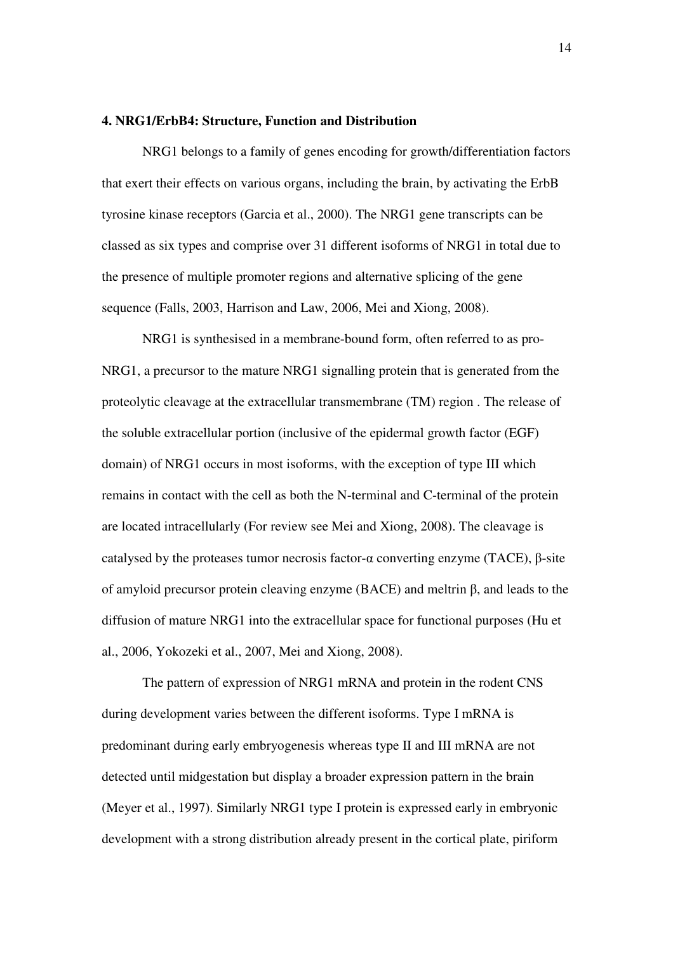### **4. NRG1/ErbB4: Structure, Function and Distribution**

NRG1 belongs to a family of genes encoding for growth/differentiation factors that exert their effects on various organs, including the brain, by activating the ErbB tyrosine kinase receptors (Garcia et al., 2000). The NRG1 gene transcripts can be classed as six types and comprise over 31 different isoforms of NRG1 in total due to the presence of multiple promoter regions and alternative splicing of the gene sequence (Falls, 2003, Harrison and Law, 2006, Mei and Xiong, 2008).

NRG1 is synthesised in a membrane-bound form, often referred to as pro-NRG1, a precursor to the mature NRG1 signalling protein that is generated from the proteolytic cleavage at the extracellular transmembrane (TM) region . The release of the soluble extracellular portion (inclusive of the epidermal growth factor (EGF) domain) of NRG1 occurs in most isoforms, with the exception of type III which remains in contact with the cell as both the N-terminal and C-terminal of the protein are located intracellularly (For review see Mei and Xiong, 2008). The cleavage is catalysed by the proteases tumor necrosis factor-α converting enzyme (TACE), β-site of amyloid precursor protein cleaving enzyme (BACE) and meltrin β, and leads to the diffusion of mature NRG1 into the extracellular space for functional purposes (Hu et al., 2006, Yokozeki et al., 2007, Mei and Xiong, 2008).

The pattern of expression of NRG1 mRNA and protein in the rodent CNS during development varies between the different isoforms. Type I mRNA is predominant during early embryogenesis whereas type II and III mRNA are not detected until midgestation but display a broader expression pattern in the brain (Meyer et al., 1997). Similarly NRG1 type I protein is expressed early in embryonic development with a strong distribution already present in the cortical plate, piriform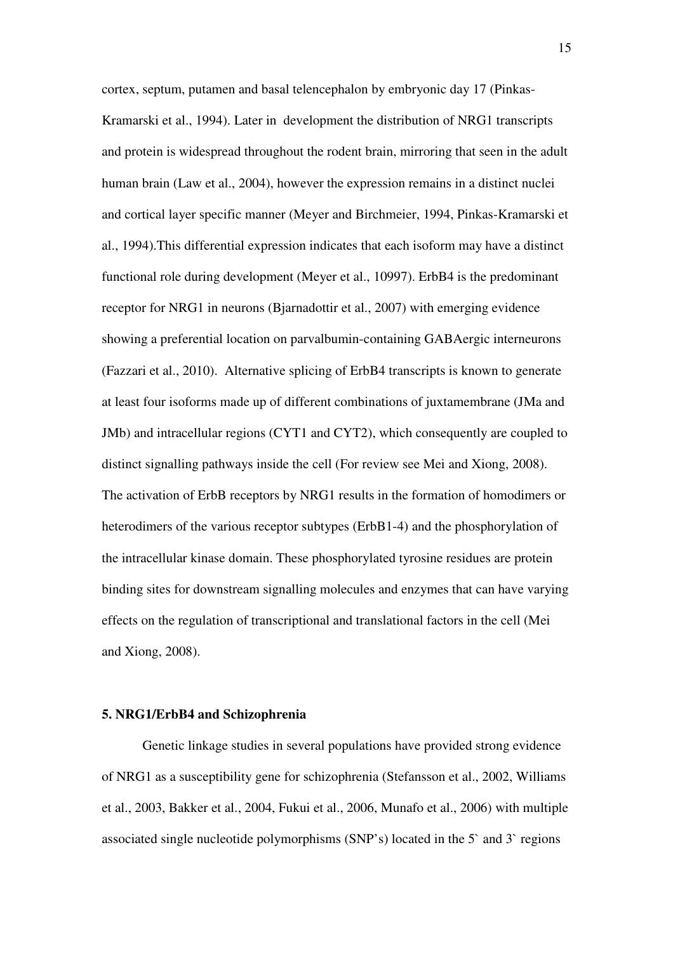cortex, septum, putamen and basal telencephalon by embryonic day 17 (Pinkas-Kramarski et al., 1994). Later in development the distribution of NRG1 transcripts and protein is widespread throughout the rodent brain, mirroring that seen in the adult human brain (Law et al., 2004), however the expression remains in a distinct nuclei and cortical layer specific manner (Meyer and Birchmeier, 1994, Pinkas-Kramarski et al., 1994).This differential expression indicates that each isoform may have a distinct functional role during development (Meyer et al., 10997). ErbB4 is the predominant receptor for NRG1 in neurons (Bjarnadottir et al., 2007) with emerging evidence showing a preferential location on parvalbumin-containing GABAergic interneurons (Fazzari et al., 2010). Alternative splicing of ErbB4 transcripts is known to generate at least four isoforms made up of different combinations of juxtamembrane (JMa and JMb) and intracellular regions (CYT1 and CYT2), which consequently are coupled to distinct signalling pathways inside the cell (For review see Mei and Xiong, 2008). The activation of ErbB receptors by NRG1 results in the formation of homodimers or heterodimers of the various receptor subtypes (ErbB1-4) and the phosphorylation of the intracellular kinase domain. These phosphorylated tyrosine residues are protein binding sites for downstream signalling molecules and enzymes that can have varying effects on the regulation of transcriptional and translational factors in the cell (Mei and Xiong, 2008).

### **5. NRG1/ErbB4 and Schizophrenia**

Genetic linkage studies in several populations have provided strong evidence of NRG1 as a susceptibility gene for schizophrenia (Stefansson et al., 2002, Williams et al., 2003, Bakker et al., 2004, Fukui et al., 2006, Munafo et al., 2006) with multiple associated single nucleotide polymorphisms (SNP's) located in the 5` and 3` regions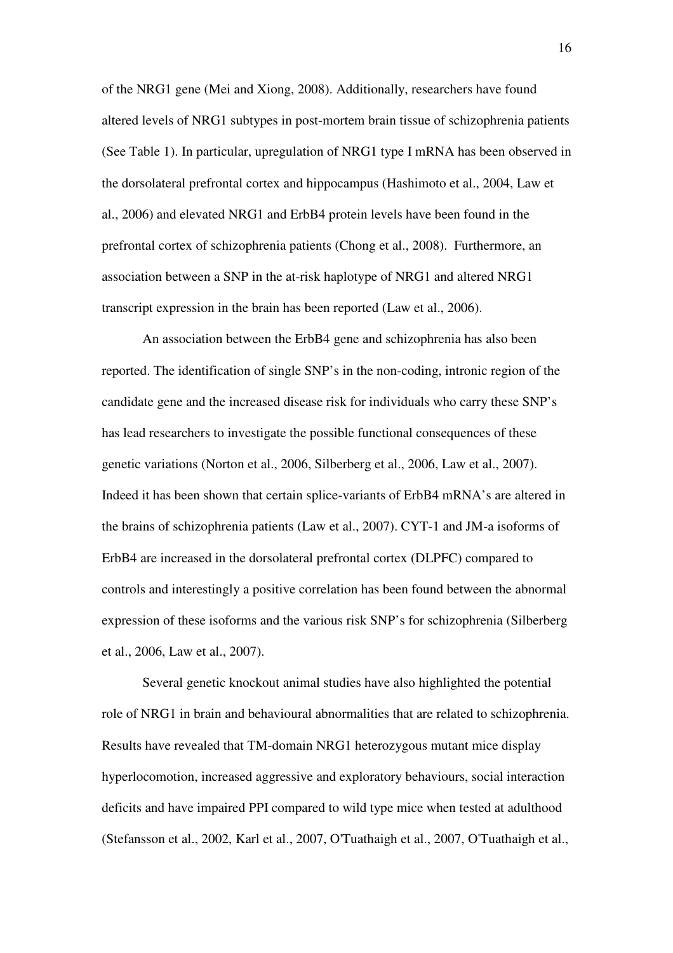of the NRG1 gene (Mei and Xiong, 2008). Additionally, researchers have found altered levels of NRG1 subtypes in post-mortem brain tissue of schizophrenia patients (See Table 1). In particular, upregulation of NRG1 type I mRNA has been observed in the dorsolateral prefrontal cortex and hippocampus (Hashimoto et al., 2004, Law et al., 2006) and elevated NRG1 and ErbB4 protein levels have been found in the prefrontal cortex of schizophrenia patients (Chong et al., 2008). Furthermore, an association between a SNP in the at-risk haplotype of NRG1 and altered NRG1 transcript expression in the brain has been reported (Law et al., 2006).

An association between the ErbB4 gene and schizophrenia has also been reported. The identification of single SNP's in the non-coding, intronic region of the candidate gene and the increased disease risk for individuals who carry these SNP's has lead researchers to investigate the possible functional consequences of these genetic variations (Norton et al., 2006, Silberberg et al., 2006, Law et al., 2007). Indeed it has been shown that certain splice-variants of ErbB4 mRNA's are altered in the brains of schizophrenia patients (Law et al., 2007). CYT-1 and JM-a isoforms of ErbB4 are increased in the dorsolateral prefrontal cortex (DLPFC) compared to controls and interestingly a positive correlation has been found between the abnormal expression of these isoforms and the various risk SNP's for schizophrenia (Silberberg et al., 2006, Law et al., 2007).

Several genetic knockout animal studies have also highlighted the potential role of NRG1 in brain and behavioural abnormalities that are related to schizophrenia. Results have revealed that TM-domain NRG1 heterozygous mutant mice display hyperlocomotion, increased aggressive and exploratory behaviours, social interaction deficits and have impaired PPI compared to wild type mice when tested at adulthood (Stefansson et al., 2002, Karl et al., 2007, O'Tuathaigh et al., 2007, O'Tuathaigh et al.,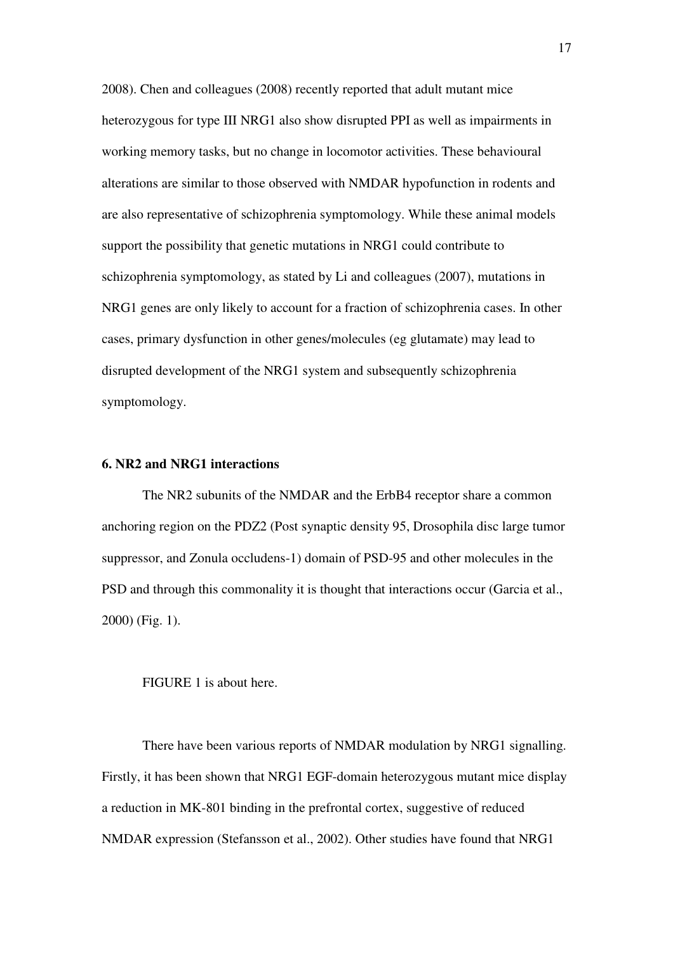2008). Chen and colleagues (2008) recently reported that adult mutant mice heterozygous for type III NRG1 also show disrupted PPI as well as impairments in working memory tasks, but no change in locomotor activities. These behavioural alterations are similar to those observed with NMDAR hypofunction in rodents and are also representative of schizophrenia symptomology. While these animal models support the possibility that genetic mutations in NRG1 could contribute to schizophrenia symptomology, as stated by Li and colleagues (2007), mutations in NRG1 genes are only likely to account for a fraction of schizophrenia cases. In other cases, primary dysfunction in other genes/molecules (eg glutamate) may lead to disrupted development of the NRG1 system and subsequently schizophrenia symptomology.

### **6. NR2 and NRG1 interactions**

The NR2 subunits of the NMDAR and the ErbB4 receptor share a common anchoring region on the PDZ2 (Post synaptic density 95, Drosophila disc large tumor suppressor, and Zonula occludens-1) domain of PSD-95 and other molecules in the PSD and through this commonality it is thought that interactions occur (Garcia et al., 2000) (Fig. 1).

#### FIGURE 1 is about here.

There have been various reports of NMDAR modulation by NRG1 signalling. Firstly, it has been shown that NRG1 EGF-domain heterozygous mutant mice display a reduction in MK-801 binding in the prefrontal cortex, suggestive of reduced NMDAR expression (Stefansson et al., 2002). Other studies have found that NRG1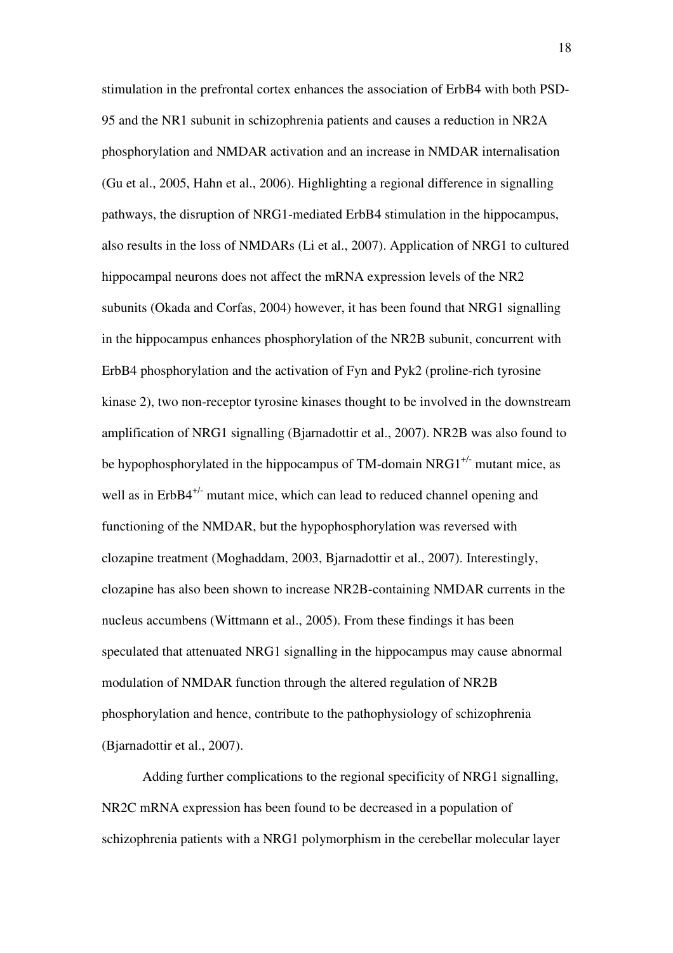stimulation in the prefrontal cortex enhances the association of ErbB4 with both PSD-95 and the NR1 subunit in schizophrenia patients and causes a reduction in NR2A phosphorylation and NMDAR activation and an increase in NMDAR internalisation (Gu et al., 2005, Hahn et al., 2006). Highlighting a regional difference in signalling pathways, the disruption of NRG1-mediated ErbB4 stimulation in the hippocampus, also results in the loss of NMDARs (Li et al., 2007). Application of NRG1 to cultured hippocampal neurons does not affect the mRNA expression levels of the NR2 subunits (Okada and Corfas, 2004) however, it has been found that NRG1 signalling in the hippocampus enhances phosphorylation of the NR2B subunit, concurrent with ErbB4 phosphorylation and the activation of Fyn and Pyk2 (proline-rich tyrosine kinase 2), two non-receptor tyrosine kinases thought to be involved in the downstream amplification of NRG1 signalling (Bjarnadottir et al., 2007). NR2B was also found to be hypophosphorylated in the hippocampus of TM-domain NRG1<sup>+/-</sup> mutant mice, as well as in ErbB4<sup>+/-</sup> mutant mice, which can lead to reduced channel opening and functioning of the NMDAR, but the hypophosphorylation was reversed with clozapine treatment (Moghaddam, 2003, Bjarnadottir et al., 2007). Interestingly, clozapine has also been shown to increase NR2B-containing NMDAR currents in the nucleus accumbens (Wittmann et al., 2005). From these findings it has been speculated that attenuated NRG1 signalling in the hippocampus may cause abnormal modulation of NMDAR function through the altered regulation of NR2B phosphorylation and hence, contribute to the pathophysiology of schizophrenia (Bjarnadottir et al., 2007).

Adding further complications to the regional specificity of NRG1 signalling, NR2C mRNA expression has been found to be decreased in a population of schizophrenia patients with a NRG1 polymorphism in the cerebellar molecular layer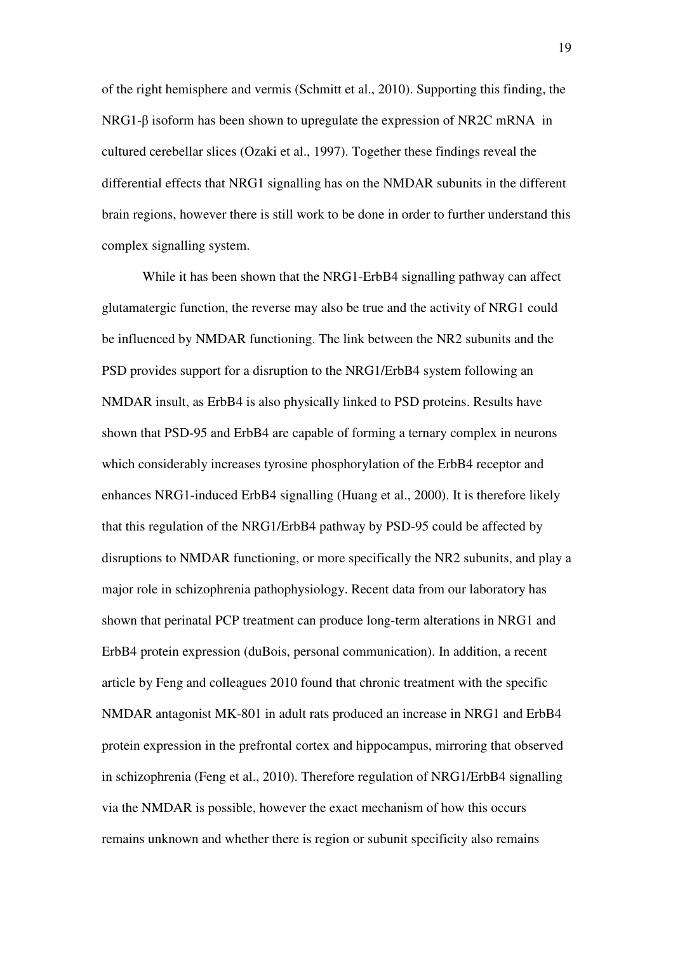of the right hemisphere and vermis (Schmitt et al., 2010). Supporting this finding, the NRG1-β isoform has been shown to upregulate the expression of NR2C mRNA in cultured cerebellar slices (Ozaki et al., 1997). Together these findings reveal the differential effects that NRG1 signalling has on the NMDAR subunits in the different brain regions, however there is still work to be done in order to further understand this complex signalling system.

While it has been shown that the NRG1-ErbB4 signalling pathway can affect glutamatergic function, the reverse may also be true and the activity of NRG1 could be influenced by NMDAR functioning. The link between the NR2 subunits and the PSD provides support for a disruption to the NRG1/ErbB4 system following an NMDAR insult, as ErbB4 is also physically linked to PSD proteins. Results have shown that PSD-95 and ErbB4 are capable of forming a ternary complex in neurons which considerably increases tyrosine phosphorylation of the ErbB4 receptor and enhances NRG1-induced ErbB4 signalling (Huang et al., 2000). It is therefore likely that this regulation of the NRG1/ErbB4 pathway by PSD-95 could be affected by disruptions to NMDAR functioning, or more specifically the NR2 subunits, and play a major role in schizophrenia pathophysiology. Recent data from our laboratory has shown that perinatal PCP treatment can produce long-term alterations in NRG1 and ErbB4 protein expression (duBois, personal communication). In addition, a recent article by Feng and colleagues 2010 found that chronic treatment with the specific NMDAR antagonist MK-801 in adult rats produced an increase in NRG1 and ErbB4 protein expression in the prefrontal cortex and hippocampus, mirroring that observed in schizophrenia (Feng et al., 2010). Therefore regulation of NRG1/ErbB4 signalling via the NMDAR is possible, however the exact mechanism of how this occurs remains unknown and whether there is region or subunit specificity also remains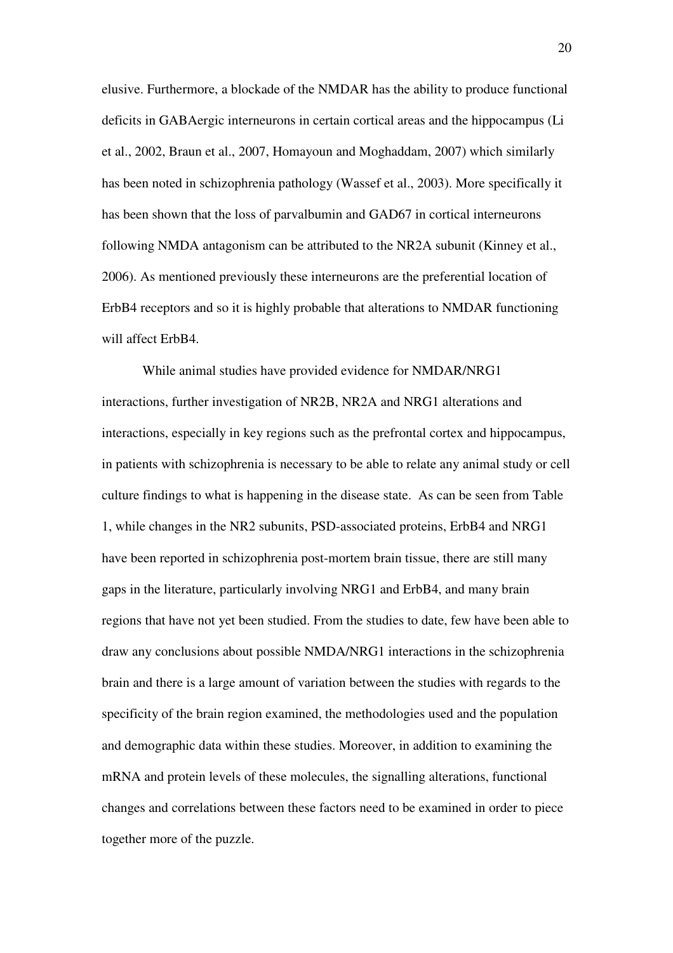elusive. Furthermore, a blockade of the NMDAR has the ability to produce functional deficits in GABAergic interneurons in certain cortical areas and the hippocampus (Li et al., 2002, Braun et al., 2007, Homayoun and Moghaddam, 2007) which similarly has been noted in schizophrenia pathology (Wassef et al., 2003). More specifically it has been shown that the loss of parvalbumin and GAD67 in cortical interneurons following NMDA antagonism can be attributed to the NR2A subunit (Kinney et al., 2006). As mentioned previously these interneurons are the preferential location of ErbB4 receptors and so it is highly probable that alterations to NMDAR functioning will affect ErbB4.

While animal studies have provided evidence for NMDAR/NRG1 interactions, further investigation of NR2B, NR2A and NRG1 alterations and interactions, especially in key regions such as the prefrontal cortex and hippocampus, in patients with schizophrenia is necessary to be able to relate any animal study or cell culture findings to what is happening in the disease state. As can be seen from Table 1, while changes in the NR2 subunits, PSD-associated proteins, ErbB4 and NRG1 have been reported in schizophrenia post-mortem brain tissue, there are still many gaps in the literature, particularly involving NRG1 and ErbB4, and many brain regions that have not yet been studied. From the studies to date, few have been able to draw any conclusions about possible NMDA/NRG1 interactions in the schizophrenia brain and there is a large amount of variation between the studies with regards to the specificity of the brain region examined, the methodologies used and the population and demographic data within these studies. Moreover, in addition to examining the mRNA and protein levels of these molecules, the signalling alterations, functional changes and correlations between these factors need to be examined in order to piece together more of the puzzle.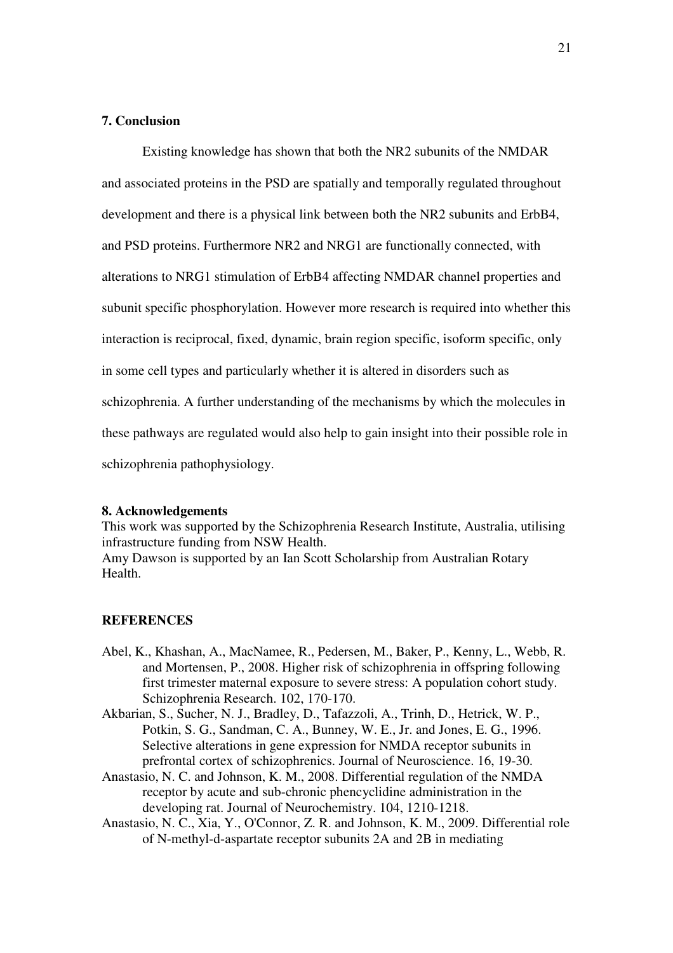## **7. Conclusion**

Existing knowledge has shown that both the NR2 subunits of the NMDAR and associated proteins in the PSD are spatially and temporally regulated throughout development and there is a physical link between both the NR2 subunits and ErbB4, and PSD proteins. Furthermore NR2 and NRG1 are functionally connected, with alterations to NRG1 stimulation of ErbB4 affecting NMDAR channel properties and subunit specific phosphorylation. However more research is required into whether this interaction is reciprocal, fixed, dynamic, brain region specific, isoform specific, only in some cell types and particularly whether it is altered in disorders such as schizophrenia. A further understanding of the mechanisms by which the molecules in these pathways are regulated would also help to gain insight into their possible role in schizophrenia pathophysiology.

#### **8. Acknowledgements**

This work was supported by the Schizophrenia Research Institute, Australia, utilising infrastructure funding from NSW Health.

Amy Dawson is supported by an Ian Scott Scholarship from Australian Rotary Health.

#### **REFERENCES**

- Abel, K., Khashan, A., MacNamee, R., Pedersen, M., Baker, P., Kenny, L., Webb, R. and Mortensen, P., 2008. Higher risk of schizophrenia in offspring following first trimester maternal exposure to severe stress: A population cohort study. Schizophrenia Research. 102, 170-170.
- Akbarian, S., Sucher, N. J., Bradley, D., Tafazzoli, A., Trinh, D., Hetrick, W. P., Potkin, S. G., Sandman, C. A., Bunney, W. E., Jr. and Jones, E. G., 1996. Selective alterations in gene expression for NMDA receptor subunits in prefrontal cortex of schizophrenics. Journal of Neuroscience. 16, 19-30.
- Anastasio, N. C. and Johnson, K. M., 2008. Differential regulation of the NMDA receptor by acute and sub-chronic phencyclidine administration in the developing rat. Journal of Neurochemistry. 104, 1210-1218.
- Anastasio, N. C., Xia, Y., O'Connor, Z. R. and Johnson, K. M., 2009. Differential role of N-methyl-d-aspartate receptor subunits 2A and 2B in mediating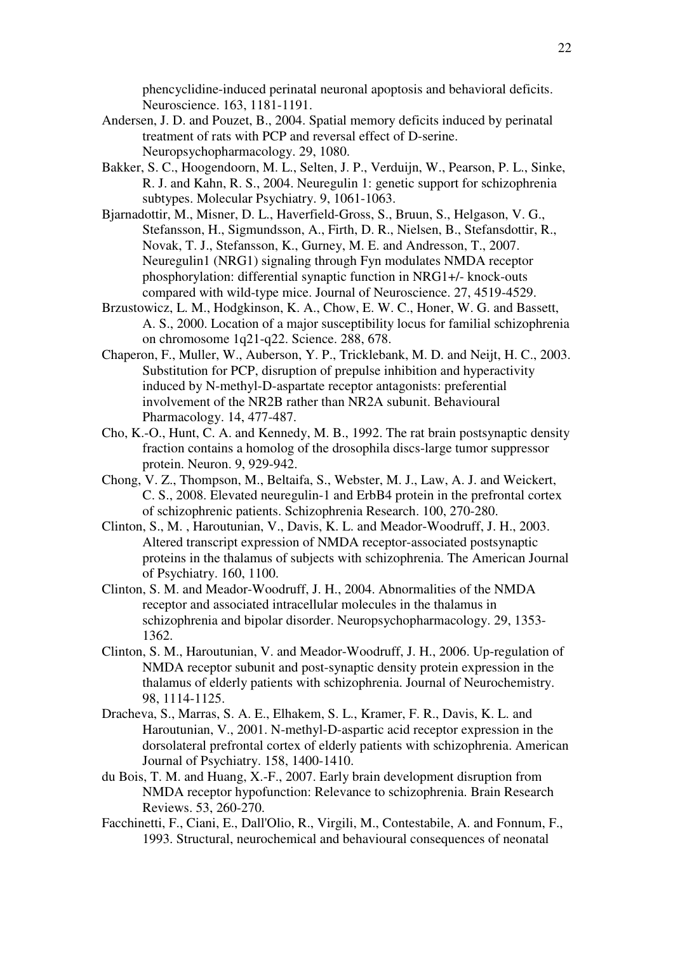phencyclidine-induced perinatal neuronal apoptosis and behavioral deficits. Neuroscience. 163, 1181-1191.

- Andersen, J. D. and Pouzet, B., 2004. Spatial memory deficits induced by perinatal treatment of rats with PCP and reversal effect of D-serine. Neuropsychopharmacology. 29, 1080.
- Bakker, S. C., Hoogendoorn, M. L., Selten, J. P., Verduijn, W., Pearson, P. L., Sinke, R. J. and Kahn, R. S., 2004. Neuregulin 1: genetic support for schizophrenia subtypes. Molecular Psychiatry. 9, 1061-1063.
- Bjarnadottir, M., Misner, D. L., Haverfield-Gross, S., Bruun, S., Helgason, V. G., Stefansson, H., Sigmundsson, A., Firth, D. R., Nielsen, B., Stefansdottir, R., Novak, T. J., Stefansson, K., Gurney, M. E. and Andresson, T., 2007. Neuregulin1 (NRG1) signaling through Fyn modulates NMDA receptor phosphorylation: differential synaptic function in NRG1+/- knock-outs compared with wild-type mice. Journal of Neuroscience. 27, 4519-4529.
- Brzustowicz, L. M., Hodgkinson, K. A., Chow, E. W. C., Honer, W. G. and Bassett, A. S., 2000. Location of a major susceptibility locus for familial schizophrenia on chromosome 1q21-q22. Science. 288, 678.
- Chaperon, F., Muller, W., Auberson, Y. P., Tricklebank, M. D. and Neijt, H. C., 2003. Substitution for PCP, disruption of prepulse inhibition and hyperactivity induced by N-methyl-D-aspartate receptor antagonists: preferential involvement of the NR2B rather than NR2A subunit. Behavioural Pharmacology. 14, 477-487.
- Cho, K.-O., Hunt, C. A. and Kennedy, M. B., 1992. The rat brain postsynaptic density fraction contains a homolog of the drosophila discs-large tumor suppressor protein. Neuron. 9, 929-942.
- Chong, V. Z., Thompson, M., Beltaifa, S., Webster, M. J., Law, A. J. and Weickert, C. S., 2008. Elevated neuregulin-1 and ErbB4 protein in the prefrontal cortex of schizophrenic patients. Schizophrenia Research. 100, 270-280.
- Clinton, S., M. , Haroutunian, V., Davis, K. L. and Meador-Woodruff, J. H., 2003. Altered transcript expression of NMDA receptor-associated postsynaptic proteins in the thalamus of subjects with schizophrenia. The American Journal of Psychiatry. 160, 1100.
- Clinton, S. M. and Meador-Woodruff, J. H., 2004. Abnormalities of the NMDA receptor and associated intracellular molecules in the thalamus in schizophrenia and bipolar disorder. Neuropsychopharmacology. 29, 1353- 1362.
- Clinton, S. M., Haroutunian, V. and Meador-Woodruff, J. H., 2006. Up-regulation of NMDA receptor subunit and post-synaptic density protein expression in the thalamus of elderly patients with schizophrenia. Journal of Neurochemistry. 98, 1114-1125.
- Dracheva, S., Marras, S. A. E., Elhakem, S. L., Kramer, F. R., Davis, K. L. and Haroutunian, V., 2001. N-methyl-D-aspartic acid receptor expression in the dorsolateral prefrontal cortex of elderly patients with schizophrenia. American Journal of Psychiatry. 158, 1400-1410.
- du Bois, T. M. and Huang, X.-F., 2007. Early brain development disruption from NMDA receptor hypofunction: Relevance to schizophrenia. Brain Research Reviews. 53, 260-270.
- Facchinetti, F., Ciani, E., Dall'Olio, R., Virgili, M., Contestabile, A. and Fonnum, F., 1993. Structural, neurochemical and behavioural consequences of neonatal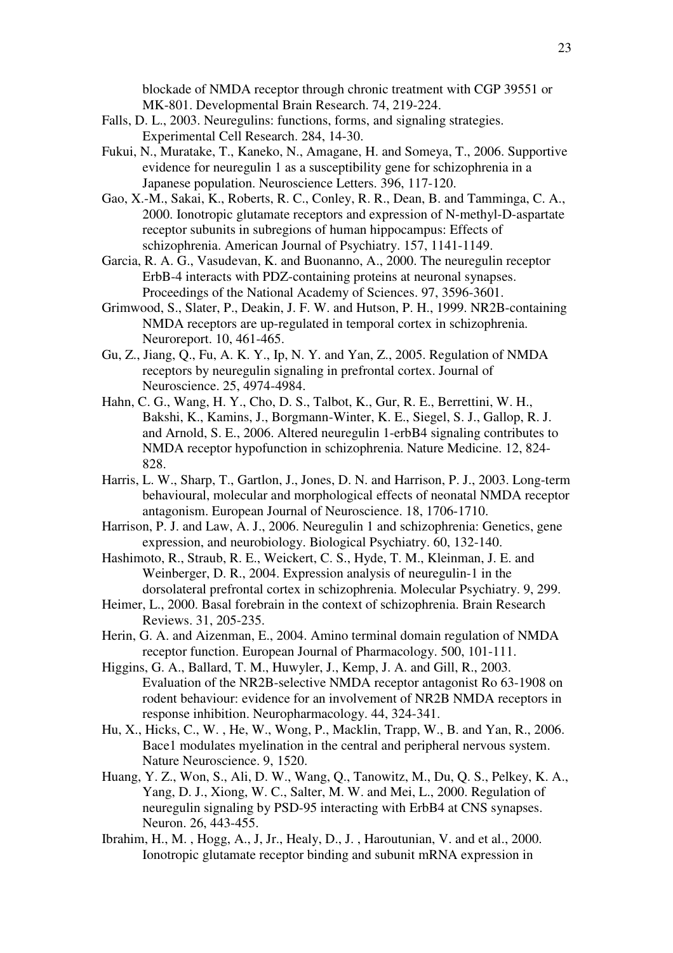blockade of NMDA receptor through chronic treatment with CGP 39551 or MK-801. Developmental Brain Research. 74, 219-224.

- Falls, D. L., 2003. Neuregulins: functions, forms, and signaling strategies. Experimental Cell Research. 284, 14-30.
- Fukui, N., Muratake, T., Kaneko, N., Amagane, H. and Someya, T., 2006. Supportive evidence for neuregulin 1 as a susceptibility gene for schizophrenia in a Japanese population. Neuroscience Letters. 396, 117-120.
- Gao, X.-M., Sakai, K., Roberts, R. C., Conley, R. R., Dean, B. and Tamminga, C. A., 2000. Ionotropic glutamate receptors and expression of N-methyl-D-aspartate receptor subunits in subregions of human hippocampus: Effects of schizophrenia. American Journal of Psychiatry. 157, 1141-1149.
- Garcia, R. A. G., Vasudevan, K. and Buonanno, A., 2000. The neuregulin receptor ErbB-4 interacts with PDZ-containing proteins at neuronal synapses. Proceedings of the National Academy of Sciences. 97, 3596-3601.
- Grimwood, S., Slater, P., Deakin, J. F. W. and Hutson, P. H., 1999. NR2B-containing NMDA receptors are up-regulated in temporal cortex in schizophrenia. Neuroreport. 10, 461-465.
- Gu, Z., Jiang, Q., Fu, A. K. Y., Ip, N. Y. and Yan, Z., 2005. Regulation of NMDA receptors by neuregulin signaling in prefrontal cortex. Journal of Neuroscience. 25, 4974-4984.
- Hahn, C. G., Wang, H. Y., Cho, D. S., Talbot, K., Gur, R. E., Berrettini, W. H., Bakshi, K., Kamins, J., Borgmann-Winter, K. E., Siegel, S. J., Gallop, R. J. and Arnold, S. E., 2006. Altered neuregulin 1-erbB4 signaling contributes to NMDA receptor hypofunction in schizophrenia. Nature Medicine. 12, 824- 828.
- Harris, L. W., Sharp, T., Gartlon, J., Jones, D. N. and Harrison, P. J., 2003. Long-term behavioural, molecular and morphological effects of neonatal NMDA receptor antagonism. European Journal of Neuroscience. 18, 1706-1710.
- Harrison, P. J. and Law, A. J., 2006. Neuregulin 1 and schizophrenia: Genetics, gene expression, and neurobiology. Biological Psychiatry. 60, 132-140.
- Hashimoto, R., Straub, R. E., Weickert, C. S., Hyde, T. M., Kleinman, J. E. and Weinberger, D. R., 2004. Expression analysis of neuregulin-1 in the dorsolateral prefrontal cortex in schizophrenia. Molecular Psychiatry. 9, 299.
- Heimer, L., 2000. Basal forebrain in the context of schizophrenia. Brain Research Reviews. 31, 205-235.
- Herin, G. A. and Aizenman, E., 2004. Amino terminal domain regulation of NMDA receptor function. European Journal of Pharmacology. 500, 101-111.
- Higgins, G. A., Ballard, T. M., Huwyler, J., Kemp, J. A. and Gill, R., 2003. Evaluation of the NR2B-selective NMDA receptor antagonist Ro 63-1908 on rodent behaviour: evidence for an involvement of NR2B NMDA receptors in response inhibition. Neuropharmacology. 44, 324-341.
- Hu, X., Hicks, C., W. , He, W., Wong, P., Macklin, Trapp, W., B. and Yan, R., 2006. Bace1 modulates myelination in the central and peripheral nervous system. Nature Neuroscience. 9, 1520.
- Huang, Y. Z., Won, S., Ali, D. W., Wang, Q., Tanowitz, M., Du, Q. S., Pelkey, K. A., Yang, D. J., Xiong, W. C., Salter, M. W. and Mei, L., 2000. Regulation of neuregulin signaling by PSD-95 interacting with ErbB4 at CNS synapses. Neuron. 26, 443-455.
- Ibrahim, H., M. , Hogg, A., J, Jr., Healy, D., J. , Haroutunian, V. and et al., 2000. Ionotropic glutamate receptor binding and subunit mRNA expression in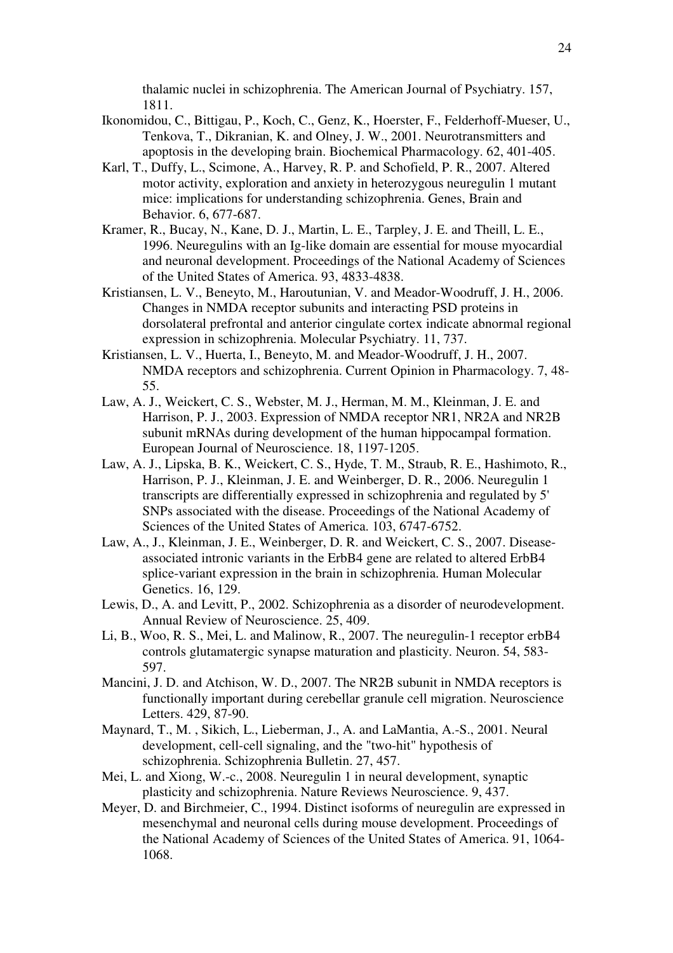thalamic nuclei in schizophrenia. The American Journal of Psychiatry. 157, 1811.

- Ikonomidou, C., Bittigau, P., Koch, C., Genz, K., Hoerster, F., Felderhoff-Mueser, U., Tenkova, T., Dikranian, K. and Olney, J. W., 2001. Neurotransmitters and apoptosis in the developing brain. Biochemical Pharmacology. 62, 401-405.
- Karl, T., Duffy, L., Scimone, A., Harvey, R. P. and Schofield, P. R., 2007. Altered motor activity, exploration and anxiety in heterozygous neuregulin 1 mutant mice: implications for understanding schizophrenia. Genes, Brain and Behavior. 6, 677-687.
- Kramer, R., Bucay, N., Kane, D. J., Martin, L. E., Tarpley, J. E. and Theill, L. E., 1996. Neuregulins with an Ig-like domain are essential for mouse myocardial and neuronal development. Proceedings of the National Academy of Sciences of the United States of America. 93, 4833-4838.
- Kristiansen, L. V., Beneyto, M., Haroutunian, V. and Meador-Woodruff, J. H., 2006. Changes in NMDA receptor subunits and interacting PSD proteins in dorsolateral prefrontal and anterior cingulate cortex indicate abnormal regional expression in schizophrenia. Molecular Psychiatry. 11, 737.
- Kristiansen, L. V., Huerta, I., Beneyto, M. and Meador-Woodruff, J. H., 2007. NMDA receptors and schizophrenia. Current Opinion in Pharmacology. 7, 48- 55.
- Law, A. J., Weickert, C. S., Webster, M. J., Herman, M. M., Kleinman, J. E. and Harrison, P. J., 2003. Expression of NMDA receptor NR1, NR2A and NR2B subunit mRNAs during development of the human hippocampal formation. European Journal of Neuroscience. 18, 1197-1205.
- Law, A. J., Lipska, B. K., Weickert, C. S., Hyde, T. M., Straub, R. E., Hashimoto, R., Harrison, P. J., Kleinman, J. E. and Weinberger, D. R., 2006. Neuregulin 1 transcripts are differentially expressed in schizophrenia and regulated by 5' SNPs associated with the disease. Proceedings of the National Academy of Sciences of the United States of America. 103, 6747-6752.
- Law, A., J., Kleinman, J. E., Weinberger, D. R. and Weickert, C. S., 2007. Diseaseassociated intronic variants in the ErbB4 gene are related to altered ErbB4 splice-variant expression in the brain in schizophrenia. Human Molecular Genetics. 16, 129.
- Lewis, D., A. and Levitt, P., 2002. Schizophrenia as a disorder of neurodevelopment. Annual Review of Neuroscience. 25, 409.
- Li, B., Woo, R. S., Mei, L. and Malinow, R., 2007. The neuregulin-1 receptor erbB4 controls glutamatergic synapse maturation and plasticity. Neuron. 54, 583- 597.
- Mancini, J. D. and Atchison, W. D., 2007. The NR2B subunit in NMDA receptors is functionally important during cerebellar granule cell migration. Neuroscience Letters. 429, 87-90.
- Maynard, T., M. , Sikich, L., Lieberman, J., A. and LaMantia, A.-S., 2001. Neural development, cell-cell signaling, and the "two-hit" hypothesis of schizophrenia. Schizophrenia Bulletin. 27, 457.
- Mei, L. and Xiong, W.-c., 2008. Neuregulin 1 in neural development, synaptic plasticity and schizophrenia. Nature Reviews Neuroscience. 9, 437.
- Meyer, D. and Birchmeier, C., 1994. Distinct isoforms of neuregulin are expressed in mesenchymal and neuronal cells during mouse development. Proceedings of the National Academy of Sciences of the United States of America. 91, 1064- 1068.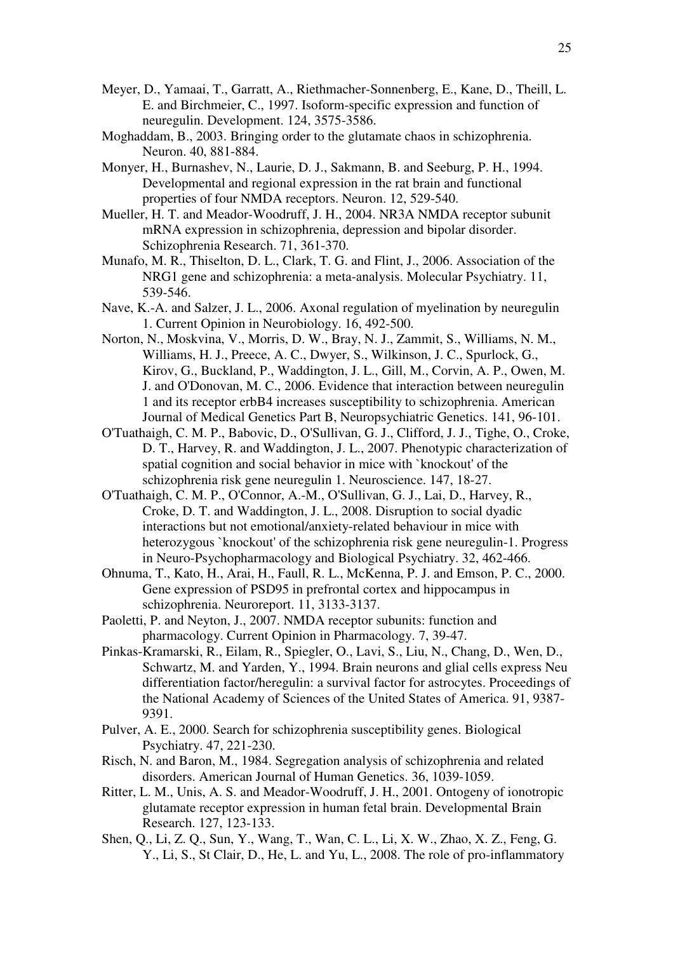- Meyer, D., Yamaai, T., Garratt, A., Riethmacher-Sonnenberg, E., Kane, D., Theill, L. E. and Birchmeier, C., 1997. Isoform-specific expression and function of neuregulin. Development. 124, 3575-3586.
- Moghaddam, B., 2003. Bringing order to the glutamate chaos in schizophrenia. Neuron. 40, 881-884.
- Monyer, H., Burnashev, N., Laurie, D. J., Sakmann, B. and Seeburg, P. H., 1994. Developmental and regional expression in the rat brain and functional properties of four NMDA receptors. Neuron. 12, 529-540.
- Mueller, H. T. and Meador-Woodruff, J. H., 2004. NR3A NMDA receptor subunit mRNA expression in schizophrenia, depression and bipolar disorder. Schizophrenia Research. 71, 361-370.
- Munafo, M. R., Thiselton, D. L., Clark, T. G. and Flint, J., 2006. Association of the NRG1 gene and schizophrenia: a meta-analysis. Molecular Psychiatry. 11, 539-546.
- Nave, K.-A. and Salzer, J. L., 2006. Axonal regulation of myelination by neuregulin 1. Current Opinion in Neurobiology. 16, 492-500.
- Norton, N., Moskvina, V., Morris, D. W., Bray, N. J., Zammit, S., Williams, N. M., Williams, H. J., Preece, A. C., Dwyer, S., Wilkinson, J. C., Spurlock, G., Kirov, G., Buckland, P., Waddington, J. L., Gill, M., Corvin, A. P., Owen, M. J. and O'Donovan, M. C., 2006. Evidence that interaction between neuregulin 1 and its receptor erbB4 increases susceptibility to schizophrenia. American Journal of Medical Genetics Part B, Neuropsychiatric Genetics. 141, 96-101.
- O'Tuathaigh, C. M. P., Babovic, D., O'Sullivan, G. J., Clifford, J. J., Tighe, O., Croke, D. T., Harvey, R. and Waddington, J. L., 2007. Phenotypic characterization of spatial cognition and social behavior in mice with `knockout' of the schizophrenia risk gene neuregulin 1. Neuroscience. 147, 18-27.
- O'Tuathaigh, C. M. P., O'Connor, A.-M., O'Sullivan, G. J., Lai, D., Harvey, R., Croke, D. T. and Waddington, J. L., 2008. Disruption to social dyadic interactions but not emotional/anxiety-related behaviour in mice with heterozygous `knockout' of the schizophrenia risk gene neuregulin-1. Progress in Neuro-Psychopharmacology and Biological Psychiatry. 32, 462-466.
- Ohnuma, T., Kato, H., Arai, H., Faull, R. L., McKenna, P. J. and Emson, P. C., 2000. Gene expression of PSD95 in prefrontal cortex and hippocampus in schizophrenia. Neuroreport. 11, 3133-3137.
- Paoletti, P. and Neyton, J., 2007. NMDA receptor subunits: function and pharmacology. Current Opinion in Pharmacology. 7, 39-47.
- Pinkas-Kramarski, R., Eilam, R., Spiegler, O., Lavi, S., Liu, N., Chang, D., Wen, D., Schwartz, M. and Yarden,  $\hat{Y}$ ., 1994. Brain neurons and glial cells express Neu differentiation factor/heregulin: a survival factor for astrocytes. Proceedings of the National Academy of Sciences of the United States of America. 91, 9387- 9391.
- Pulver, A. E., 2000. Search for schizophrenia susceptibility genes. Biological Psychiatry. 47, 221-230.
- Risch, N. and Baron, M., 1984. Segregation analysis of schizophrenia and related disorders. American Journal of Human Genetics. 36, 1039-1059.
- Ritter, L. M., Unis, A. S. and Meador-Woodruff, J. H., 2001. Ontogeny of ionotropic glutamate receptor expression in human fetal brain. Developmental Brain Research. 127, 123-133.
- Shen, Q., Li, Z. Q., Sun, Y., Wang, T., Wan, C. L., Li, X. W., Zhao, X. Z., Feng, G. Y., Li, S., St Clair, D., He, L. and Yu, L., 2008. The role of pro-inflammatory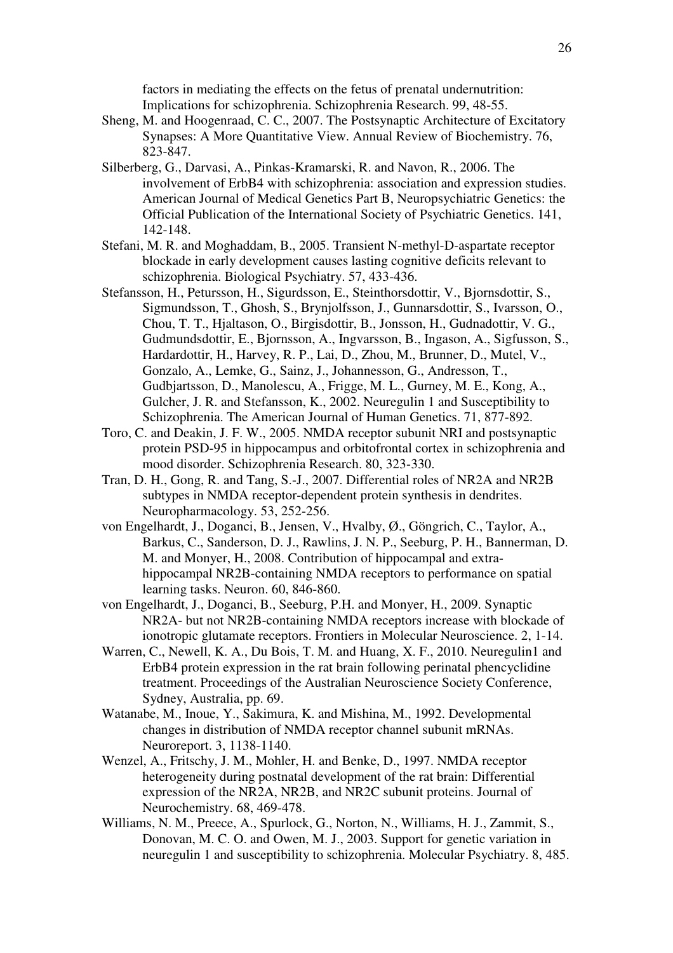factors in mediating the effects on the fetus of prenatal undernutrition: Implications for schizophrenia. Schizophrenia Research. 99, 48-55.

- Sheng, M. and Hoogenraad, C. C., 2007. The Postsynaptic Architecture of Excitatory Synapses: A More Quantitative View. Annual Review of Biochemistry. 76, 823-847.
- Silberberg, G., Darvasi, A., Pinkas-Kramarski, R. and Navon, R., 2006. The involvement of ErbB4 with schizophrenia: association and expression studies. American Journal of Medical Genetics Part B, Neuropsychiatric Genetics: the Official Publication of the International Society of Psychiatric Genetics. 141, 142-148.
- Stefani, M. R. and Moghaddam, B., 2005. Transient N-methyl-D-aspartate receptor blockade in early development causes lasting cognitive deficits relevant to schizophrenia. Biological Psychiatry. 57, 433-436.
- Stefansson, H., Petursson, H., Sigurdsson, E., Steinthorsdottir, V., Bjornsdottir, S., Sigmundsson, T., Ghosh, S., Brynjolfsson, J., Gunnarsdottir, S., Ivarsson, O., Chou, T. T., Hjaltason, O., Birgisdottir, B., Jonsson, H., Gudnadottir, V. G., Gudmundsdottir, E., Bjornsson, A., Ingvarsson, B., Ingason, A., Sigfusson, S., Hardardottir, H., Harvey, R. P., Lai, D., Zhou, M., Brunner, D., Mutel, V., Gonzalo, A., Lemke, G., Sainz, J., Johannesson, G., Andresson, T., Gudbjartsson, D., Manolescu, A., Frigge, M. L., Gurney, M. E., Kong, A., Gulcher, J. R. and Stefansson, K., 2002. Neuregulin 1 and Susceptibility to Schizophrenia. The American Journal of Human Genetics. 71, 877-892.
- Toro, C. and Deakin, J. F. W., 2005. NMDA receptor subunit NRI and postsynaptic protein PSD-95 in hippocampus and orbitofrontal cortex in schizophrenia and mood disorder. Schizophrenia Research. 80, 323-330.
- Tran, D. H., Gong, R. and Tang, S.-J., 2007. Differential roles of NR2A and NR2B subtypes in NMDA receptor-dependent protein synthesis in dendrites. Neuropharmacology. 53, 252-256.
- von Engelhardt, J., Doganci, B., Jensen, V., Hvalby, Ø., Göngrich, C., Taylor, A., Barkus, C., Sanderson, D. J., Rawlins, J. N. P., Seeburg, P. H., Bannerman, D. M. and Monyer, H., 2008. Contribution of hippocampal and extrahippocampal NR2B-containing NMDA receptors to performance on spatial learning tasks. Neuron. 60, 846-860.
- von Engelhardt, J., Doganci, B., Seeburg, P.H. and Monyer, H., 2009. Synaptic NR2A- but not NR2B-containing NMDA receptors increase with blockade of ionotropic glutamate receptors. Frontiers in Molecular Neuroscience. 2, 1-14.
- Warren, C., Newell, K. A., Du Bois, T. M. and Huang, X. F., 2010. Neuregulin1 and ErbB4 protein expression in the rat brain following perinatal phencyclidine treatment. Proceedings of the Australian Neuroscience Society Conference, Sydney, Australia, pp. 69.
- Watanabe, M., Inoue, Y., Sakimura, K. and Mishina, M., 1992. Developmental changes in distribution of NMDA receptor channel subunit mRNAs. Neuroreport. 3, 1138-1140.
- Wenzel, A., Fritschy, J. M., Mohler, H. and Benke, D., 1997. NMDA receptor heterogeneity during postnatal development of the rat brain: Differential expression of the NR2A, NR2B, and NR2C subunit proteins. Journal of Neurochemistry. 68, 469-478.
- Williams, N. M., Preece, A., Spurlock, G., Norton, N., Williams, H. J., Zammit, S., Donovan, M. C. O. and Owen, M. J., 2003. Support for genetic variation in neuregulin 1 and susceptibility to schizophrenia. Molecular Psychiatry. 8, 485.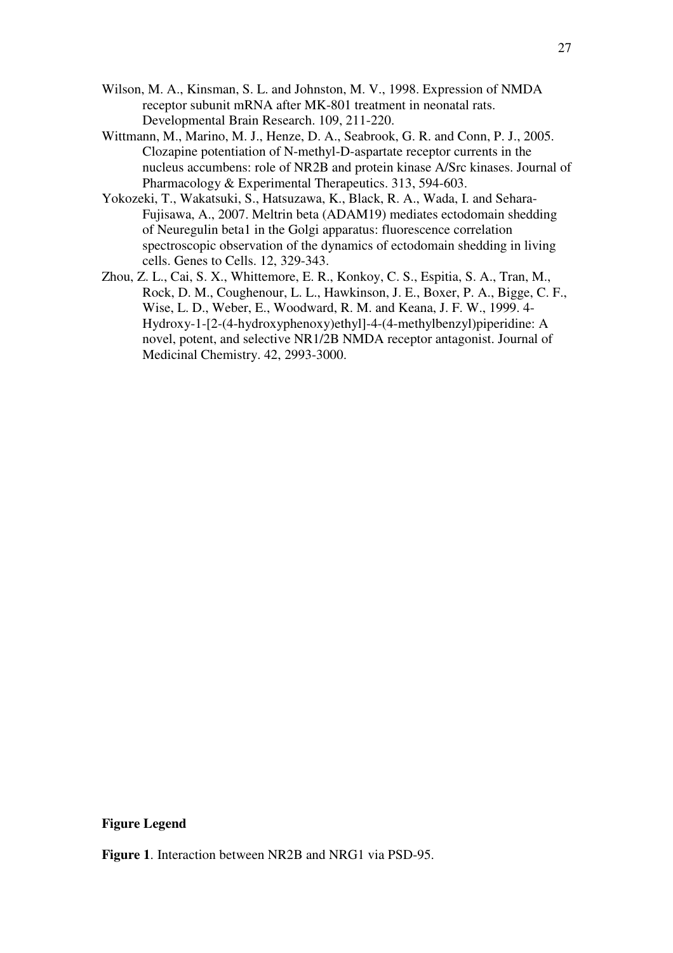- Wilson, M. A., Kinsman, S. L. and Johnston, M. V., 1998. Expression of NMDA receptor subunit mRNA after MK-801 treatment in neonatal rats. Developmental Brain Research. 109, 211-220.
- Wittmann, M., Marino, M. J., Henze, D. A., Seabrook, G. R. and Conn, P. J., 2005. Clozapine potentiation of N-methyl-D-aspartate receptor currents in the nucleus accumbens: role of NR2B and protein kinase A/Src kinases. Journal of Pharmacology & Experimental Therapeutics. 313, 594-603.
- Yokozeki, T., Wakatsuki, S., Hatsuzawa, K., Black, R. A., Wada, I. and Sehara-Fujisawa, A., 2007. Meltrin beta (ADAM19) mediates ectodomain shedding of Neuregulin beta1 in the Golgi apparatus: fluorescence correlation spectroscopic observation of the dynamics of ectodomain shedding in living cells. Genes to Cells. 12, 329-343.
- Zhou, Z. L., Cai, S. X., Whittemore, E. R., Konkoy, C. S., Espitia, S. A., Tran, M., Rock, D. M., Coughenour, L. L., Hawkinson, J. E., Boxer, P. A., Bigge, C. F., Wise, L. D., Weber, E., Woodward, R. M. and Keana, J. F. W., 1999. 4- Hydroxy-1-[2-(4-hydroxyphenoxy)ethyl]-4-(4-methylbenzyl)piperidine: A novel, potent, and selective NR1/2B NMDA receptor antagonist. Journal of Medicinal Chemistry. 42, 2993-3000.

**Figure Legend** 

**Figure 1**. Interaction between NR2B and NRG1 via PSD-95.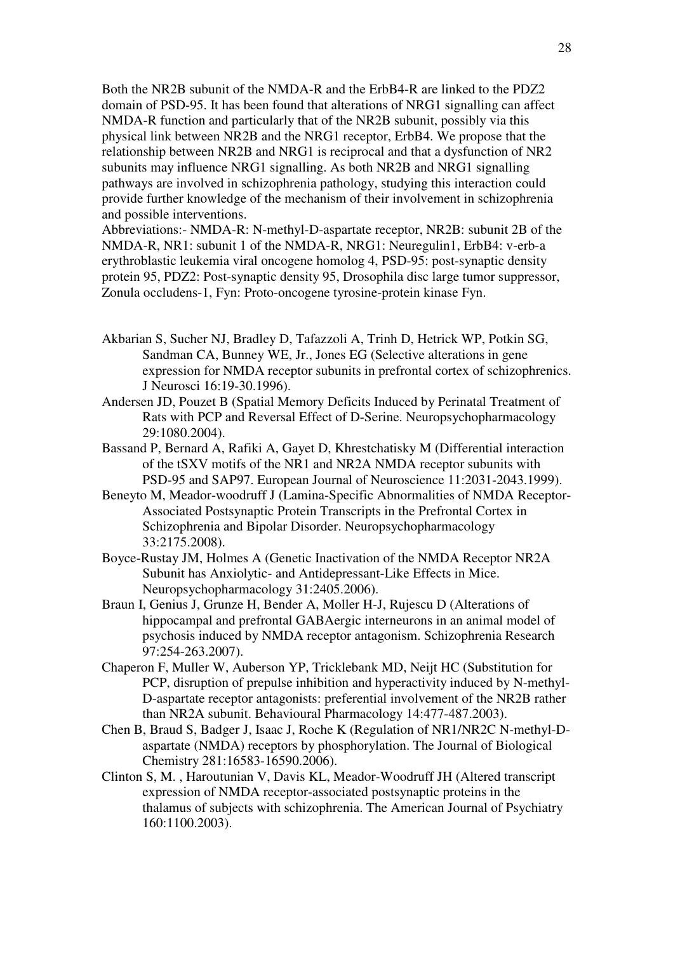Both the NR2B subunit of the NMDA-R and the ErbB4-R are linked to the PDZ2 domain of PSD-95. It has been found that alterations of NRG1 signalling can affect NMDA-R function and particularly that of the NR2B subunit, possibly via this physical link between NR2B and the NRG1 receptor, ErbB4. We propose that the relationship between NR2B and NRG1 is reciprocal and that a dysfunction of NR2 subunits may influence NRG1 signalling. As both NR2B and NRG1 signalling pathways are involved in schizophrenia pathology, studying this interaction could provide further knowledge of the mechanism of their involvement in schizophrenia and possible interventions.

Abbreviations:- NMDA-R: N-methyl-D-aspartate receptor, NR2B: subunit 2B of the NMDA-R, NR1: subunit 1 of the NMDA-R, NRG1: Neuregulin1, ErbB4: v-erb-a erythroblastic leukemia viral oncogene homolog 4, PSD-95: post-synaptic density protein 95, PDZ2: Post-synaptic density 95, Drosophila disc large tumor suppressor, Zonula occludens-1, Fyn: Proto-oncogene tyrosine-protein kinase Fyn.

- Akbarian S, Sucher NJ, Bradley D, Tafazzoli A, Trinh D, Hetrick WP, Potkin SG, Sandman CA, Bunney WE, Jr., Jones EG (Selective alterations in gene expression for NMDA receptor subunits in prefrontal cortex of schizophrenics. J Neurosci 16:19-30.1996).
- Andersen JD, Pouzet B (Spatial Memory Deficits Induced by Perinatal Treatment of Rats with PCP and Reversal Effect of D-Serine. Neuropsychopharmacology 29:1080.2004).
- Bassand P, Bernard A, Rafiki A, Gayet D, Khrestchatisky M (Differential interaction of the tSXV motifs of the NR1 and NR2A NMDA receptor subunits with PSD-95 and SAP97. European Journal of Neuroscience 11:2031-2043.1999).
- Beneyto M, Meador-woodruff J (Lamina-Specific Abnormalities of NMDA Receptor-Associated Postsynaptic Protein Transcripts in the Prefrontal Cortex in Schizophrenia and Bipolar Disorder. Neuropsychopharmacology 33:2175.2008).
- Boyce-Rustay JM, Holmes A (Genetic Inactivation of the NMDA Receptor NR2A Subunit has Anxiolytic- and Antidepressant-Like Effects in Mice. Neuropsychopharmacology 31:2405.2006).
- Braun I, Genius J, Grunze H, Bender A, Moller H-J, Rujescu D (Alterations of hippocampal and prefrontal GABAergic interneurons in an animal model of psychosis induced by NMDA receptor antagonism. Schizophrenia Research 97:254-263.2007).
- Chaperon F, Muller W, Auberson YP, Tricklebank MD, Neijt HC (Substitution for PCP, disruption of prepulse inhibition and hyperactivity induced by N-methyl-D-aspartate receptor antagonists: preferential involvement of the NR2B rather than NR2A subunit. Behavioural Pharmacology 14:477-487.2003).
- Chen B, Braud S, Badger J, Isaac J, Roche K (Regulation of NR1/NR2C N-methyl-Daspartate (NMDA) receptors by phosphorylation. The Journal of Biological Chemistry 281:16583-16590.2006).
- Clinton S, M. , Haroutunian V, Davis KL, Meador-Woodruff JH (Altered transcript expression of NMDA receptor-associated postsynaptic proteins in the thalamus of subjects with schizophrenia. The American Journal of Psychiatry 160:1100.2003).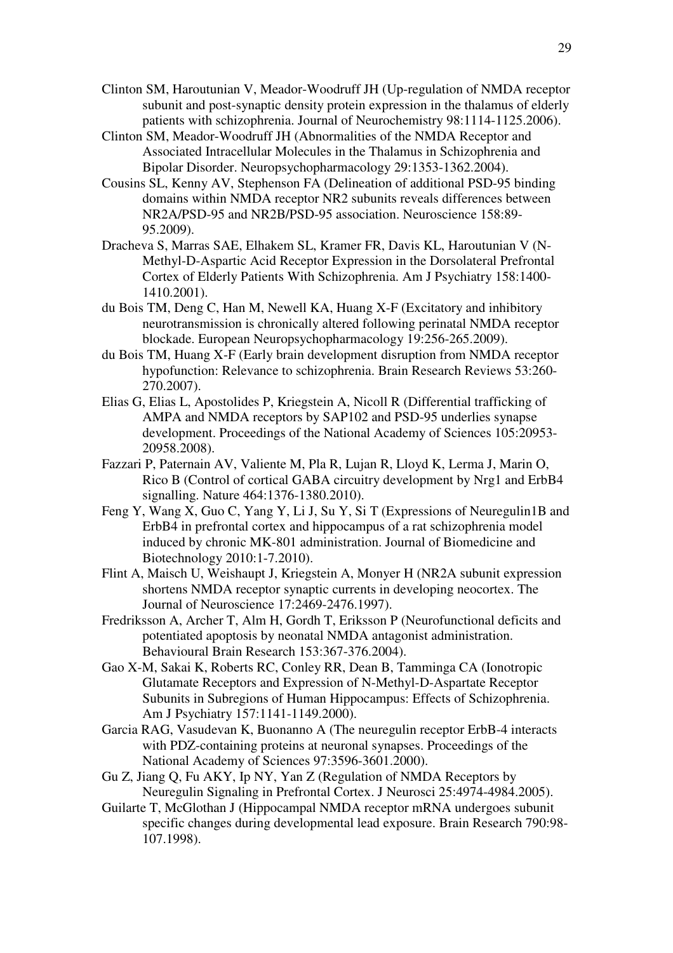- Clinton SM, Haroutunian V, Meador-Woodruff JH (Up-regulation of NMDA receptor subunit and post-synaptic density protein expression in the thalamus of elderly patients with schizophrenia. Journal of Neurochemistry 98:1114-1125.2006).
- Clinton SM, Meador-Woodruff JH (Abnormalities of the NMDA Receptor and Associated Intracellular Molecules in the Thalamus in Schizophrenia and Bipolar Disorder. Neuropsychopharmacology 29:1353-1362.2004).
- Cousins SL, Kenny AV, Stephenson FA (Delineation of additional PSD-95 binding domains within NMDA receptor NR2 subunits reveals differences between NR2A/PSD-95 and NR2B/PSD-95 association. Neuroscience 158:89- 95.2009).
- Dracheva S, Marras SAE, Elhakem SL, Kramer FR, Davis KL, Haroutunian V (N-Methyl-D-Aspartic Acid Receptor Expression in the Dorsolateral Prefrontal Cortex of Elderly Patients With Schizophrenia. Am J Psychiatry 158:1400- 1410.2001).
- du Bois TM, Deng C, Han M, Newell KA, Huang X-F (Excitatory and inhibitory neurotransmission is chronically altered following perinatal NMDA receptor blockade. European Neuropsychopharmacology 19:256-265.2009).
- du Bois TM, Huang X-F (Early brain development disruption from NMDA receptor hypofunction: Relevance to schizophrenia. Brain Research Reviews 53:260- 270.2007).
- Elias G, Elias L, Apostolides P, Kriegstein A, Nicoll R (Differential trafficking of AMPA and NMDA receptors by SAP102 and PSD-95 underlies synapse development. Proceedings of the National Academy of Sciences 105:20953- 20958.2008).
- Fazzari P, Paternain AV, Valiente M, Pla R, Lujan R, Lloyd K, Lerma J, Marin O, Rico B (Control of cortical GABA circuitry development by Nrg1 and ErbB4 signalling. Nature 464:1376-1380.2010).
- Feng Y, Wang X, Guo C, Yang Y, Li J, Su Y, Si T (Expressions of Neuregulin1B and ErbB4 in prefrontal cortex and hippocampus of a rat schizophrenia model induced by chronic MK-801 administration. Journal of Biomedicine and Biotechnology 2010:1-7.2010).
- Flint A, Maisch U, Weishaupt J, Kriegstein A, Monyer H (NR2A subunit expression shortens NMDA receptor synaptic currents in developing neocortex. The Journal of Neuroscience 17:2469-2476.1997).
- Fredriksson A, Archer T, Alm H, Gordh T, Eriksson P (Neurofunctional deficits and potentiated apoptosis by neonatal NMDA antagonist administration. Behavioural Brain Research 153:367-376.2004).
- Gao X-M, Sakai K, Roberts RC, Conley RR, Dean B, Tamminga CA (Ionotropic Glutamate Receptors and Expression of N-Methyl-D-Aspartate Receptor Subunits in Subregions of Human Hippocampus: Effects of Schizophrenia. Am J Psychiatry 157:1141-1149.2000).
- Garcia RAG, Vasudevan K, Buonanno A (The neuregulin receptor ErbB-4 interacts with PDZ-containing proteins at neuronal synapses. Proceedings of the National Academy of Sciences 97:3596-3601.2000).
- Gu Z, Jiang Q, Fu AKY, Ip NY, Yan Z (Regulation of NMDA Receptors by Neuregulin Signaling in Prefrontal Cortex. J Neurosci 25:4974-4984.2005).
- Guilarte T, McGlothan J (Hippocampal NMDA receptor mRNA undergoes subunit specific changes during developmental lead exposure. Brain Research 790:98- 107.1998).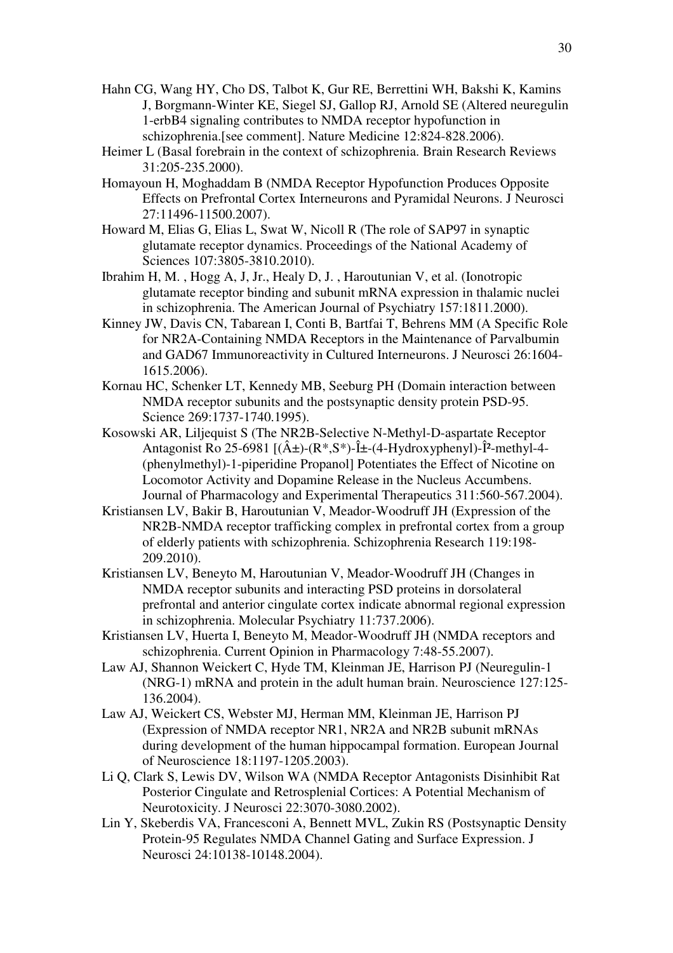- Hahn CG, Wang HY, Cho DS, Talbot K, Gur RE, Berrettini WH, Bakshi K, Kamins J, Borgmann-Winter KE, Siegel SJ, Gallop RJ, Arnold SE (Altered neuregulin 1-erbB4 signaling contributes to NMDA receptor hypofunction in schizophrenia.[see comment]. Nature Medicine 12:824-828.2006).
- Heimer L (Basal forebrain in the context of schizophrenia. Brain Research Reviews 31:205-235.2000).
- Homayoun H, Moghaddam B (NMDA Receptor Hypofunction Produces Opposite Effects on Prefrontal Cortex Interneurons and Pyramidal Neurons. J Neurosci 27:11496-11500.2007).
- Howard M, Elias G, Elias L, Swat W, Nicoll R (The role of SAP97 in synaptic glutamate receptor dynamics. Proceedings of the National Academy of Sciences 107:3805-3810.2010).
- Ibrahim H, M. , Hogg A, J, Jr., Healy D, J. , Haroutunian V, et al. (Ionotropic glutamate receptor binding and subunit mRNA expression in thalamic nuclei in schizophrenia. The American Journal of Psychiatry 157:1811.2000).
- Kinney JW, Davis CN, Tabarean I, Conti B, Bartfai T, Behrens MM (A Specific Role for NR2A-Containing NMDA Receptors in the Maintenance of Parvalbumin and GAD67 Immunoreactivity in Cultured Interneurons. J Neurosci 26:1604- 1615.2006).
- Kornau HC, Schenker LT, Kennedy MB, Seeburg PH (Domain interaction between NMDA receptor subunits and the postsynaptic density protein PSD-95. Science 269:1737-1740.1995).
- Kosowski AR, Liljequist S (The NR2B-Selective N-Methyl-D-aspartate Receptor Antagonist Ro 25-6981  $[(\hat{A}\pm)(R^*,S^*)$ -Î $\pm$ -(4-Hydroxyphenyl)-Î<sup>2</sup>-methyl-4-(phenylmethyl)-1-piperidine Propanol] Potentiates the Effect of Nicotine on Locomotor Activity and Dopamine Release in the Nucleus Accumbens. Journal of Pharmacology and Experimental Therapeutics 311:560-567.2004).
- Kristiansen LV, Bakir B, Haroutunian V, Meador-Woodruff JH (Expression of the NR2B-NMDA receptor trafficking complex in prefrontal cortex from a group of elderly patients with schizophrenia. Schizophrenia Research 119:198- 209.2010).
- Kristiansen LV, Beneyto M, Haroutunian V, Meador-Woodruff JH (Changes in NMDA receptor subunits and interacting PSD proteins in dorsolateral prefrontal and anterior cingulate cortex indicate abnormal regional expression in schizophrenia. Molecular Psychiatry 11:737.2006).
- Kristiansen LV, Huerta I, Beneyto M, Meador-Woodruff JH (NMDA receptors and schizophrenia. Current Opinion in Pharmacology 7:48-55.2007).
- Law AJ, Shannon Weickert C, Hyde TM, Kleinman JE, Harrison PJ (Neuregulin-1 (NRG-1) mRNA and protein in the adult human brain. Neuroscience 127:125- 136.2004).
- Law AJ, Weickert CS, Webster MJ, Herman MM, Kleinman JE, Harrison PJ (Expression of NMDA receptor NR1, NR2A and NR2B subunit mRNAs during development of the human hippocampal formation. European Journal of Neuroscience 18:1197-1205.2003).
- Li Q, Clark S, Lewis DV, Wilson WA (NMDA Receptor Antagonists Disinhibit Rat Posterior Cingulate and Retrosplenial Cortices: A Potential Mechanism of Neurotoxicity. J Neurosci 22:3070-3080.2002).
- Lin Y, Skeberdis VA, Francesconi A, Bennett MVL, Zukin RS (Postsynaptic Density Protein-95 Regulates NMDA Channel Gating and Surface Expression. J Neurosci 24:10138-10148.2004).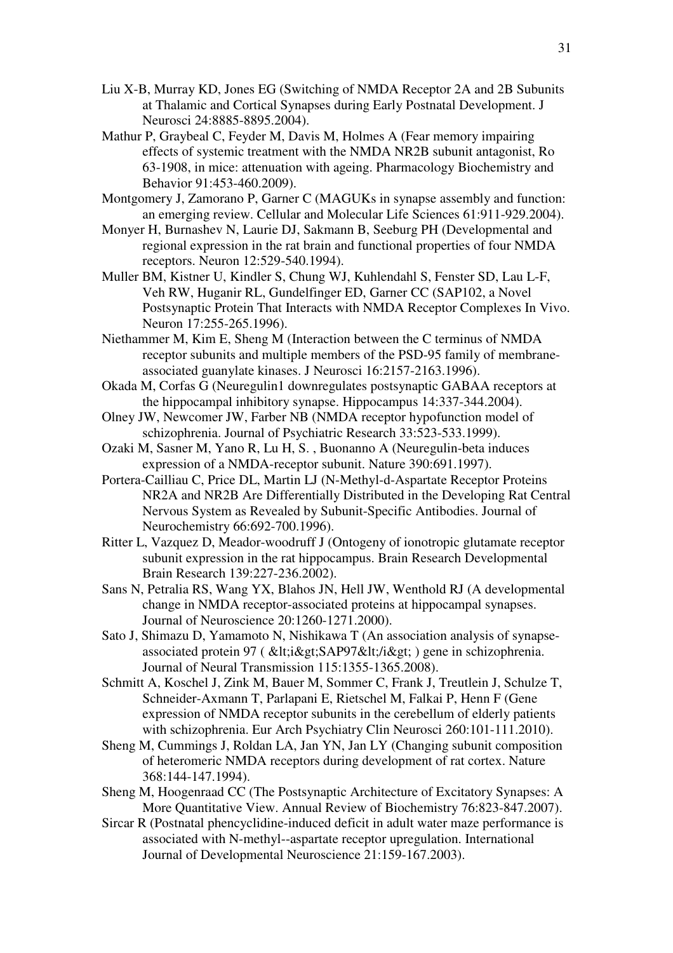- Liu X-B, Murray KD, Jones EG (Switching of NMDA Receptor 2A and 2B Subunits at Thalamic and Cortical Synapses during Early Postnatal Development. J Neurosci 24:8885-8895.2004).
- Mathur P, Graybeal C, Feyder M, Davis M, Holmes A (Fear memory impairing effects of systemic treatment with the NMDA NR2B subunit antagonist, Ro 63-1908, in mice: attenuation with ageing. Pharmacology Biochemistry and Behavior 91:453-460.2009).
- Montgomery J, Zamorano P, Garner C (MAGUKs in synapse assembly and function: an emerging review. Cellular and Molecular Life Sciences 61:911-929.2004).
- Monyer H, Burnashev N, Laurie DJ, Sakmann B, Seeburg PH (Developmental and regional expression in the rat brain and functional properties of four NMDA receptors. Neuron 12:529-540.1994).
- Muller BM, Kistner U, Kindler S, Chung WJ, Kuhlendahl S, Fenster SD, Lau L-F, Veh RW, Huganir RL, Gundelfinger ED, Garner CC (SAP102, a Novel Postsynaptic Protein That Interacts with NMDA Receptor Complexes In Vivo. Neuron 17:255-265.1996).
- Niethammer M, Kim E, Sheng M (Interaction between the C terminus of NMDA receptor subunits and multiple members of the PSD-95 family of membraneassociated guanylate kinases. J Neurosci 16:2157-2163.1996).
- Okada M, Corfas G (Neuregulin1 downregulates postsynaptic GABAA receptors at the hippocampal inhibitory synapse. Hippocampus 14:337-344.2004).
- Olney JW, Newcomer JW, Farber NB (NMDA receptor hypofunction model of schizophrenia. Journal of Psychiatric Research 33:523-533.1999).
- Ozaki M, Sasner M, Yano R, Lu H, S. , Buonanno A (Neuregulin-beta induces expression of a NMDA-receptor subunit. Nature 390:691.1997).
- Portera-Cailliau C, Price DL, Martin LJ (N-Methyl-d-Aspartate Receptor Proteins NR2A and NR2B Are Differentially Distributed in the Developing Rat Central Nervous System as Revealed by Subunit-Specific Antibodies. Journal of Neurochemistry 66:692-700.1996).
- Ritter L, Vazquez D, Meador-woodruff J (Ontogeny of ionotropic glutamate receptor subunit expression in the rat hippocampus. Brain Research Developmental Brain Research 139:227-236.2002).
- Sans N, Petralia RS, Wang YX, Blahos JN, Hell JW, Wenthold RJ (A developmental change in NMDA receptor-associated proteins at hippocampal synapses. Journal of Neuroscience 20:1260-1271.2000).
- Sato J, Shimazu D, Yamamoto N, Nishikawa T (An association analysis of synapseassociated protein 97 ( < i&gt; SAP97&lt; / i&gt; ) gene in schizophrenia. Journal of Neural Transmission 115:1355-1365.2008).
- Schmitt A, Koschel J, Zink M, Bauer M, Sommer C, Frank J, Treutlein J, Schulze T, Schneider-Axmann T, Parlapani E, Rietschel M, Falkai P, Henn F (Gene expression of NMDA receptor subunits in the cerebellum of elderly patients with schizophrenia. Eur Arch Psychiatry Clin Neurosci 260:101-111.2010).
- Sheng M, Cummings J, Roldan LA, Jan YN, Jan LY (Changing subunit composition of heteromeric NMDA receptors during development of rat cortex. Nature 368:144-147.1994).
- Sheng M, Hoogenraad CC (The Postsynaptic Architecture of Excitatory Synapses: A More Quantitative View. Annual Review of Biochemistry 76:823-847.2007).
- Sircar R (Postnatal phencyclidine-induced deficit in adult water maze performance is associated with N-methyl--aspartate receptor upregulation. International Journal of Developmental Neuroscience 21:159-167.2003).